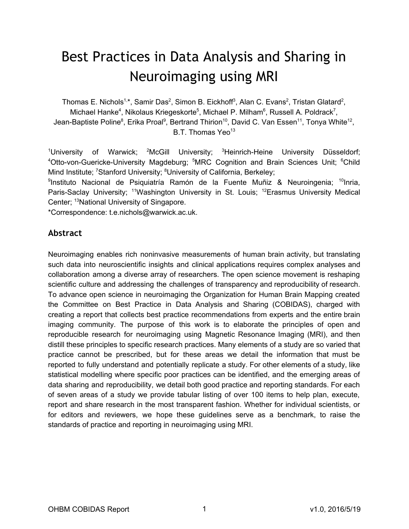# Best Practices in Data Analysis and Sharing in Neuroimaging using MRI

Thomas E. Nichols<sup>1,\*</sup>, Samir Das<sup>2</sup>, Simon B. Eickhoff<sup>3</sup>, Alan C. Evans<sup>2</sup>, Tristan Glatard<sup>2</sup>, Michael Hanke<sup>4</sup>, Nikolaus Kriegeskorte<sup>5</sup>, Michael P. Milham<sup>6</sup>, Russell A. Poldrack<sup>7</sup>, Jean-Baptiste Poline<sup>8</sup>, Erika Proal<sup>9</sup>, Bertrand Thirion<sup>10</sup>, David C. Van Essen<sup>11</sup>, Tonya White<sup>12</sup>, B.T. Thomas Yeo<sup>13</sup>

<sup>1</sup>University of Warwick; <sup>2</sup>McGill University; <sup>3</sup>Heinrich-Heine University Düsseldorf; <sup>4</sup>Otto-von-Guericke-University Magdeburg; <sup>5</sup>MRC Cognition and Brain Sciences Unit; <sup>6</sup>Child Mind Institute; <sup>7</sup>Stanford University; <sup>8</sup>University of California, Berkeley;

<sup>9</sup>Instituto Nacional de Psiquiatría Ramón de la Fuente Muñiz & Neuroingenia; <sup>10</sup>Inria, Paris-Saclay University; <sup>11</sup>Washington University in St. Louis; <sup>12</sup>Erasmus University Medical Center; <sup>13</sup>National University of Singapore.

\*Correspondence: t.e.nichols@warwick.ac.uk.

#### **Abstract**

Neuroimaging enables rich noninvasive measurements of human brain activity, but translating such data into neuroscientific insights and clinical applications requires complex analyses and collaboration among a diverse array of researchers. The open science movement is reshaping scientific culture and addressing the challenges of transparency and reproducibility of research. To advance open science in neuroimaging the Organization for Human Brain Mapping created the Committee on Best Practice in Data Analysis and Sharing (COBIDAS), charged with creating a report that collects best practice recommendations from experts and the entire brain imaging community. The purpose of this work is to elaborate the principles of open and reproducible research for neuroimaging using Magnetic Resonance Imaging (MRI), and then distill these principles to specific research practices. Many elements of a study are so varied that practice cannot be prescribed, but for these areas we detail the information that must be reported to fully understand and potentially replicate a study. For other elements of a study, like statistical modelling where specific poor practices can be identified, and the emerging areas of data sharing and reproducibility, we detail both good practice and reporting standards. For each of seven areas of a study we provide tabular listing of over 100 items to help plan, execute, report and share research in the most transparent fashion. Whether for individual scientists, or for editors and reviewers, we hope these guidelines serve as a benchmark, to raise the standards of practice and reporting in neuroimaging using MRI.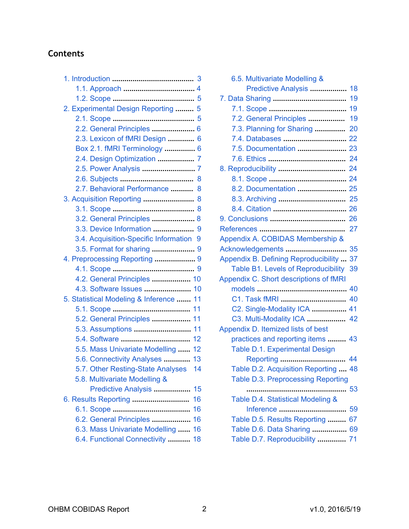# **Contents**

| 2. Experimental Design Reporting<br>5                                      |
|----------------------------------------------------------------------------|
|                                                                            |
| 2.2. General Principles  6                                                 |
| 2.3. Lexicon of fMRI Design  6                                             |
| Box 2.1. fMRI Terminology  6                                               |
| 2.4. Design Optimization  7                                                |
|                                                                            |
|                                                                            |
| 2.7. Behavioral Performance<br>8                                           |
| 3. Acquisition Reporting  8                                                |
|                                                                            |
| 3.2. General Principles  8                                                 |
| 3.3. Device Information<br>9                                               |
| 3.4. Acquisition-Specific Information<br>9                                 |
| 3.5. Format for sharing  9                                                 |
| 4. Preprocessing Reporting  9                                              |
|                                                                            |
| 4.2. General Principles  10                                                |
|                                                                            |
| 5. Statistical Modeling & Inference  11                                    |
|                                                                            |
| 5.2. General Principles  11                                                |
| 5.3. Assumptions  11                                                       |
|                                                                            |
| 5.5. Mass Univariate Modelling  12                                         |
| 5.6. Connectivity Analyses<br>13                                           |
| 5.7. Other Resting-State Analyses<br>14                                    |
| 5.8. Multivariate Modelling &                                              |
| Predictive Analysis<br>15<br>16                                            |
| 16                                                                         |
| 6.2. General Principles<br>16                                              |
|                                                                            |
|                                                                            |
| 6.3. Mass Univariate Modelling<br>16<br>6.4. Functional Connectivity<br>18 |

| 6.5. Multivariate Modelling &              |          |
|--------------------------------------------|----------|
| Predictive Analysis                        | 18<br>19 |
|                                            | 19       |
| 7.2. General Principles                    | 19       |
| 7.3. Planning for Sharing                  | 20       |
|                                            | 22       |
| 7.5. Documentation                         | 23       |
|                                            | 24       |
|                                            | 24       |
|                                            | 24       |
| 8.2. Documentation                         | 25       |
|                                            | 25       |
|                                            | 26       |
|                                            | 26       |
|                                            | 27       |
| Appendix A. COBIDAS Membership &           |          |
| Acknowledgements                           | 35       |
| Appendix B. Defining Reproducibility       | 37       |
| <b>Table B1. Levels of Reproducibility</b> | 39       |
| Appendix C. Short descriptions of fMRI     |          |
|                                            | 40       |
| C1. Task fMRI                              | 40       |
| C2. Single-Modality ICA                    | 41       |
| C3. Multi-Modality ICA                     | 42       |
| Appendix D. Itemized lists of best         |          |
| practices and reporting items              | 43       |
| Table D.1. Experimental Design             |          |
| Reporting                                  | 44       |
| Table D.2. Acquisition Reporting           | 48       |
| <b>Table D.3. Preprocessing Reporting</b>  |          |
|                                            | 53       |
| Table D.4. Statistical Modeling &          |          |
| Inference                                  | 59       |
| Table D.5. Results Reporting               | 67       |
| Table D.6. Data Sharing                    | 69       |
| Table D.7. Reproducibility  71             |          |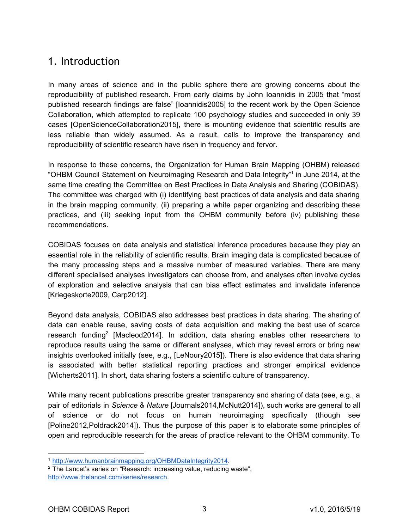# <span id="page-2-0"></span>1. Introduction

In many areas of science and in the public sphere there are growing concerns about the reproducibility of published research. From early claims by John Ioannidis in 2005 that "most published research findings are false" [Ioannidis2005] to the recent work by the Open Science Collaboration, which attempted to replicate 100 psychology studies and succeeded in only 39 cases [OpenScienceCollaboration2015], there is mounting evidence that scientific results are less reliable than widely assumed. As a result, calls to improve the transparency and reproducibility of scientific research have risen in frequency and fervor.

In response to these concerns, the Organization for Human Brain Mapping (OHBM) released "OHBM Council Statement on Neuroimaging Research and Data Integrity"<sup>1</sup> in June 2014, at the same time creating the Committee on Best Practices in Data Analysis and Sharing (COBIDAS). The committee was charged with (i) identifying best practices of data analysis and data sharing in the brain mapping community, (ii) preparing a white paper organizing and describing these practices, and (iii) seeking input from the OHBM community before (iv) publishing these recommendations.

COBIDAS focuses on data analysis and statistical inference procedures because they play an essential role in the reliability of scientific results. Brain imaging data is complicated because of the many processing steps and a massive number of measured variables. There are many different specialised analyses investigators can choose from, and analyses often involve cycles of exploration and selective analysis that can bias effect estimates and invalidate inference [Kriegeskorte2009, Carp2012].

Beyond data analysis, COBIDAS also addresses best practices in data sharing. The sharing of data can enable reuse, saving costs of data acquisition and making the best use of scarce research funding<sup>2</sup> [Macleod2014]. In addition, data sharing enables other researchers to reproduce results using the same or different analyses, which may reveal errors or bring new insights overlooked initially (see, e.g., [LeNoury2015]). There is also evidence that data sharing is associated with better statistical reporting practices and stronger empirical evidence [Wicherts2011]. In short, data sharing fosters a scientific culture of transparency.

While many recent publications prescribe greater transparency and sharing of data (see, e.g., a pair of editorials in *Science* & *Nature* [Journals2014,McNutt2014]), such works are general to all of science or do not focus on human neuroimaging specifically (though see [Poline2012,Poldrack2014]). Thus the purpose of this paper is to elaborate some principles of open and reproducible research for the areas of practice relevant to the OHBM community. To

<sup>1</sup> [http://www.humanbrainmapping.org/OHBMDataIntegrity2014.](http://www.humanbrainmapping.org/OHBMDataIntegrity2014)

<sup>&</sup>lt;sup>2</sup> The Lancet's series on "Research: increasing value, reducing waste", [http://www.thelancet.com/series/research.](http://www.thelancet.com/series/research)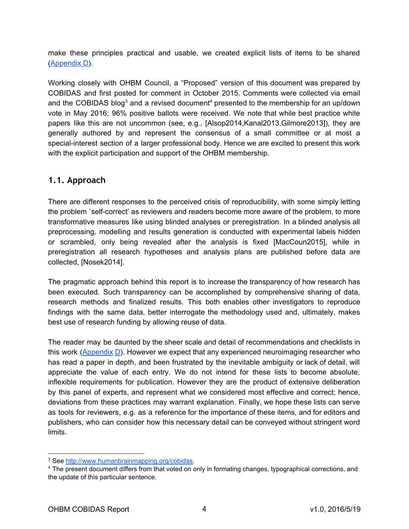make these principles practical and usable, we created explicit lists of items to be shared ([Appendix D](#page-42-0)).

Working closely with OHBM Council, a "Proposed" version of this document was prepared by COBIDAS and first posted for comment in October 2015. Comments were collected via email and the COBIDAS blog<sup>3</sup> and a revised document<sup>4</sup> presented to the membership for an up/down vote in May 2016; 96% positive ballots were received. We note that while best practice white papers like this are not uncommon (see, e.g., [Alsop2014,Kanal2013,Gilmore2013]), they are generally authored by and represent the consensus of a small committee or at most a special-interest section of a larger professional body. Hence we are excited to present this work with the explicit participation and support of the OHBM membership.

### <span id="page-3-0"></span>**1.1. Approach**

There are different responses to the perceived crisis of reproducibility, with some simply letting the problem `self-correct' as reviewers and readers become more aware of the problem, to more transformative measures like using blinded analyses or preregistration. In a blinded analysis all preprocessing, modelling and results generation is conducted with experimental labels hidden or scrambled, only being revealed after the analysis is fixed [MacCoun2015], while in preregistration all research hypotheses and analysis plans are published before data are collected, [Nosek2014].

The pragmatic approach behind this report is to increase the transparency of how research has been executed. Such transparency can be accomplished by comprehensive sharing of data, research methods and finalized results. This both enables other investigators to reproduce findings with the same data, better interrogate the methodology used and, ultimately, makes best use of research funding by allowing reuse of data.

The reader may be daunted by the sheer scale and detail of recommendations and checklists in this work ([Appendix](#page-42-0) D). However we expect that any experienced neuroimaging researcher who has read a paper in depth, and been frustrated by the inevitable ambiguity or lack of detail, will appreciate the value of each entry. We do not intend for these lists to become absolute, inflexible requirements for publication. However they are the product of extensive deliberation by this panel of experts, and represent what we considered most effective and correct; hence, deviations from these practices may warrant explanation. Finally, we hope these lists can serve as tools for reviewers, e.g. as a reference for the importance of these items, and for editors and publishers, who can consider how this necessary detail can be conveyed without stringent word limits.

<sup>&</sup>lt;sup>3</sup> See [http://www.humanbrainmapping.org/cobidas.](http://www.humanbrainmapping.org/cobidas)

<sup>4</sup> The present document differs from that voted on only in formating changes, typographical corrections, and the update of this particular sentence.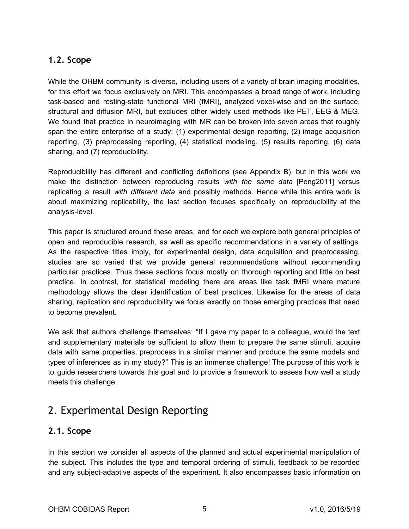### <span id="page-4-0"></span>**1.2. Scope**

While the OHBM community is diverse, including users of a variety of brain imaging modalities, for this effort we focus exclusively on MRI. This encompasses a broad range of work, including task-based and resting-state functional MRI (fMRI), analyzed voxel-wise and on the surface, structural and diffusion MRI, but excludes other widely used methods like PET, EEG & MEG. We found that practice in neuroimaging with MR can be broken into seven areas that roughly span the entire enterprise of a study: (1) experimental design reporting, (2) image acquisition reporting, (3) preprocessing reporting, (4) statistical modeling, (5) results reporting, (6) data sharing, and (7) reproducibility.

Reproducibility has different and conflicting definitions (see Appendix B), but in this work we make the distinction between reproducing results *with the same data*  [Peng2011] versus replicating a result *with different data* and possibly methods. Hence while this entire work is about maximizing replicability, the last section focuses specifically on reproducibility at the analysis-level.

This paper is structured around these areas, and for each we explore both general principles of open and reproducible research, as well as specific recommendations in a variety of settings. As the respective titles imply, for experimental design, data acquisition and preprocessing, studies are so varied that we provide general recommendations without recommending particular practices. Thus these sections focus mostly on thorough reporting and little on best practice. In contrast, for statistical modeling there are areas like task fMRI where mature methodology allows the clear identification of best practices. Likewise for the areas of data sharing, replication and reproducibility we focus exactly on those emerging practices that need to become prevalent.

We ask that authors challenge themselves: "If I gave my paper to a colleague, would the text and supplementary materials be sufficient to allow them to prepare the same stimuli, acquire data with same properties, preprocess in a similar manner and produce the same models and types of inferences as in my study?" This is an immense challenge! The purpose of this work is to guide researchers towards this goal and to provide a framework to assess how well a study meets this challenge.

# <span id="page-4-1"></span>2. Experimental Design Reporting

### <span id="page-4-2"></span>**2.1. Scope**

In this section we consider all aspects of the planned and actual experimental manipulation of the subject. This includes the type and temporal ordering of stimuli, feedback to be recorded and any subject-adaptive aspects of the experiment. It also encompasses basic information on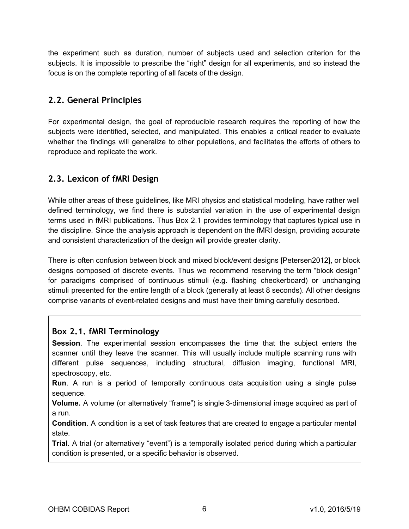the experiment such as duration, number of subjects used and selection criterion for the subjects. It is impossible to prescribe the "right" design for all experiments, and so instead the focus is on the complete reporting of all facets of the design.

### <span id="page-5-0"></span>**2.2. General Principles**

For experimental design, the goal of reproducible research requires the reporting of how the subjects were identified, selected, and manipulated. This enables a critical reader to evaluate whether the findings will generalize to other populations, and facilitates the efforts of others to reproduce and replicate the work.

# <span id="page-5-1"></span>**2.3. Lexicon of fMRI Design**

While other areas of these guidelines, like MRI physics and statistical modeling, have rather well defined terminology, we find there is substantial variation in the use of experimental design terms used in fMRI publications. Thus Box 2.1 provides terminology that captures typical use in the discipline. Since the analysis approach is dependent on the fMRI design, providing accurate and consistent characterization of the design will provide greater clarity.

There is often confusion between block and mixed block/event designs [Petersen2012], or block designs composed of discrete events. Thus we recommend reserving the term "block design" for paradigms comprised of continuous stimuli (e.g. flashing checkerboard) or unchanging stimuli presented for the entire length of a block (generally at least 8 seconds). All other designs comprise variants of event-related designs and must have their timing carefully described.

### <span id="page-5-2"></span>**Box 2.1. fMRI Terminology**

**Session**. The experimental session encompasses the time that the subject enters the scanner until they leave the scanner. This will usually include multiple scanning runs with different pulse sequences, including structural, diffusion imaging, functional MRI, spectroscopy, etc.

**Run**. A run is a period of temporally continuous data acquisition using a single pulse sequence.

**Volume.** A volume (or alternatively "frame") is single 3-dimensional image acquired as part of a run.

**Condition**. A condition is a set of task features that are created to engage a particular mental state.

**Trial**. A trial (or alternatively "event") is a temporally isolated period during which a particular condition is presented, or a specific behavior is observed.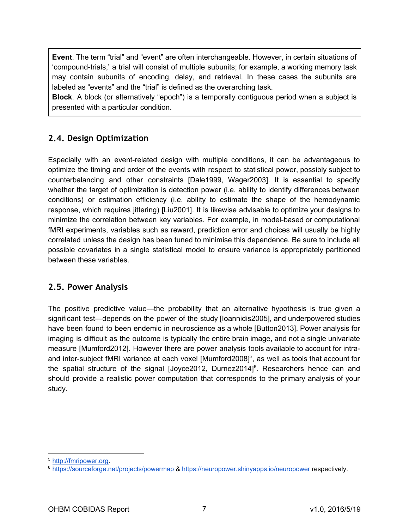**Event**. The term "trial" and "event" are often interchangeable. However, in certain situations of 'compound-trials,' a trial will consist of multiple subunits; for example, a working memory task may contain subunits of encoding, delay, and retrieval. In these cases the subunits are labeled as "events" and the "trial" is defined as the overarching task.

**Block**. A block (or alternatively "epoch") is a temporally contiguous period when a subject is presented with a particular condition.

# <span id="page-6-0"></span>**2.4. Design Optimization**

Especially with an event-related design with multiple conditions, it can be advantageous to optimize the timing and order of the events with respect to statistical power, possibly subject to counterbalancing and other constraints [Dale1999, Wager2003]. It is essential to specify whether the target of optimization is detection power (i.e. ability to identify differences between conditions) or estimation efficiency (i.e. ability to estimate the shape of the hemodynamic response, which requires jittering) [Liu2001]. It is likewise advisable to optimize your designs to minimize the correlation between key variables. For example, in model-based or computational fMRI experiments, variables such as reward, prediction error and choices will usually be highly correlated unless the design has been tuned to minimise this dependence. Be sure to include all possible covariates in a single statistical model to ensure variance is appropriately partitioned between these variables.

#### <span id="page-6-1"></span>**2.5. Power Analysis**

The positive predictive value—the probability that an alternative hypothesis is true given a significant test—depends on the power of the study [Ioannidis2005], and underpowered studies have been found to been endemic in neuroscience as a whole [Button2013]. Power analysis for imaging is difficult as the outcome is typically the entire brain image, and not a single univariate measure [Mumford2012]. However there are power analysis tools available to account for intra and inter-subject fMRI variance at each voxel [Mumford2008]<sup>5</sup>, as well as tools that account for the spatial structure of the signal [Joyce2012, Durnez2014]<sup>6</sup>. Researchers hence can and should provide a realistic power computation that corresponds to the primary analysis of your study.

<sup>5</sup> [http://fmripower.org.](http://fmripower.org/)

<sup>6</sup> <https://sourceforge.net/projects/powermap> & <https://neuropower.shinyapps.io/neuropower> respectively.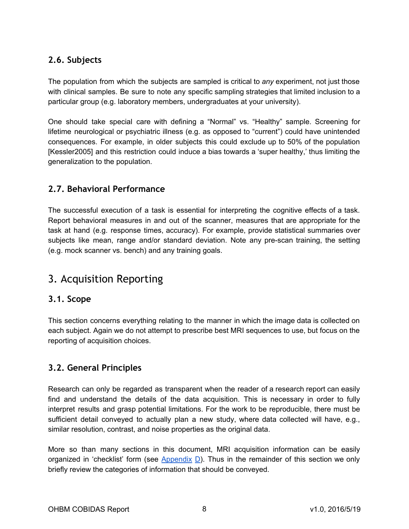### <span id="page-7-0"></span>**2.6. Subjects**

The population from which the subjects are sampled is critical to *any* experiment, not just those with clinical samples. Be sure to note any specific sampling strategies that limited inclusion to a particular group (e.g. laboratory members, undergraduates at your university).

One should take special care with defining a "Normal" vs. "Healthy" sample. Screening for lifetime neurological or psychiatric illness (e.g. as opposed to "current") could have unintended consequences. For example, in older subjects this could exclude up to 50% of the population [Kessler2005] and this restriction could induce a bias towards a 'super healthy,' thus limiting the generalization to the population.

### <span id="page-7-1"></span>**2.7. Behavioral Performance**

The successful execution of a task is essential for interpreting the cognitive effects of a task. Report behavioral measures in and out of the scanner, measures that are appropriate for the task at hand (e.g. response times, accuracy). For example, provide statistical summaries over subjects like mean, range and/or standard deviation. Note any pre-scan training, the setting (e.g. mock scanner vs. bench) and any training goals.

# <span id="page-7-2"></span>3. Acquisition Reporting

#### <span id="page-7-3"></span>**3.1. Scope**

This section concerns everything relating to the manner in which the image data is collected on each subject. Again we do not attempt to prescribe best MRI sequences to use, but focus on the reporting of acquisition choices.

### <span id="page-7-4"></span>**3.2. General Principles**

Research can only be regarded as transparent when the reader of a research report can easily find and understand the details of the data acquisition. This is necessary in order to fully interpret results and grasp potential limitations. For the work to be reproducible, there must be sufficient detail conveyed to actually plan a new study, where data collected will have, e.g., similar resolution, contrast, and noise properties as the original data.

More so than many sections in this document, MRI acquisition information can be easily organized in 'checklist' form (see  $\Delta$ ppendix  $\Box$ ). Thus in the remainder of this section we only briefly review the categories of information that should be conveyed.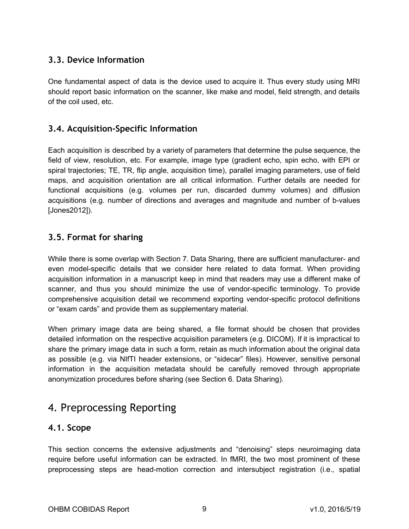### <span id="page-8-0"></span>**3.3. Device Information**

One fundamental aspect of data is the device used to acquire it. Thus every study using MRI should report basic information on the scanner, like make and model, field strength, and details of the coil used, etc.

#### <span id="page-8-1"></span>**3.4. Acquisition‐Specific Information**

Each acquisition is described by a variety of parameters that determine the pulse sequence, the field of view, resolution, etc. For example, image type (gradient echo, spin echo, with EPI or spiral trajectories; TE, TR, flip angle, acquisition time), parallel imaging parameters, use of field maps, and acquisition orientation are all critical information. Further details are needed for functional acquisitions (e.g. volumes per run, discarded dummy volumes) and diffusion acquisitions (e.g. number of directions and averages and magnitude and number of b-values [Jones2012]).

#### <span id="page-8-2"></span>**3.5. Format for sharing**

While there is some overlap with Section 7. Data Sharing, there are sufficient manufacturer- and even model-specific details that we consider here related to data format. When providing acquisition information in a manuscript keep in mind that readers may use a different make of scanner, and thus you should minimize the use of vendor-specific terminology. To provide comprehensive acquisition detail we recommend exporting vendor-specific protocol definitions or "exam cards" and provide them as supplementary material.

When primary image data are being shared, a file format should be chosen that provides detailed information on the respective acquisition parameters (e.g. DICOM). If it is impractical to share the primary image data in such a form, retain as much information about the original data as possible (e.g. via NIfTI header extensions, or "sidecar" files). However, sensitive personal information in the acquisition metadata should be carefully removed through appropriate anonymization procedures before sharing (see Section 6. Data Sharing).

# <span id="page-8-3"></span>4. Preprocessing Reporting

#### <span id="page-8-4"></span>**4.1. Scope**

This section concerns the extensive adjustments and "denoising" steps neuroimaging data require before useful information can be extracted. In fMRI, the two most prominent of these preprocessing steps are head-motion correction and intersubject registration (i.e., spatial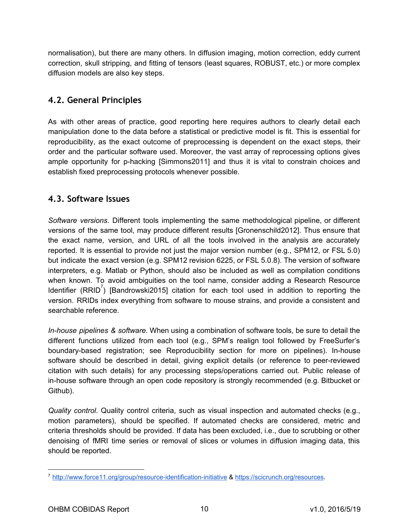normalisation), but there are many others. In diffusion imaging, motion correction, eddy current correction, skull stripping, and fitting of tensors (least squares, ROBUST, etc.) or more complex diffusion models are also key steps.

### <span id="page-9-0"></span>**4.2. General Principles**

As with other areas of practice, good reporting here requires authors to clearly detail each manipulation done to the data before a statistical or predictive model is fit. This is essential for reproducibility, as the exact outcome of preprocessing is dependent on the exact steps, their order and the particular software used. Moreover, the vast array of reprocessing options gives ample opportunity for p-hacking [Simmons2011] and thus it is vital to constrain choices and establish fixed preprocessing protocols whenever possible.

### <span id="page-9-1"></span>**4.3. Software Issues**

*Software versions.* Different tools implementing the same methodological pipeline, or different versions of the same tool, may produce different results  [[Gronenschild2](http://paperpile.com/b/O34o03/xnf5)01[2\].](https://paperpile.com/c/O34o03/xnf5) Thus ensure that the exact name, version, and URL of all the tools involved in the analysis are accurately reported. It is essential to provide not just the major version number (e.g., SPM12, or FSL 5.0) but indicate the exact version (e.g. SPM12 revision 6225, or FSL 5.0.8). The version of software interpreters, e.g. Matlab or Python, should also be included as well as compilation conditions when known. To avoid ambiguities on the tool name, consider adding a Research Resource Identifier (RRID<sup>7</sup>) [Bandrowski2015] citation for each tool used in addition to reporting the version. RRIDs index everything from software to mouse strains, and provide a consistent and searchable reference.

*In-house pipelines & software.* When using a combination of software tools, be sure to detail the different functions utilized from each tool (e.g., SPM's realign tool followed by FreeSurfer's boundary-based registration; see Reproducibility section for more on pipelines). In-house software should be described in detail, giving explicit details (or reference to peer-reviewed citation with such details) for any processing steps/operations carried out. Public release of in-house software through an open code repository is strongly recommended (e.g. Bitbucket or Github).

*Quality control*. Quality control criteria, such as visual inspection and automated checks (e.g., motion parameters), should be specified. If automated checks are considered, metric and criteria thresholds should be provided. If data has been excluded, i.e., due to scrubbing or other denoising of fMRI time series or removal of slices or volumes in diffusion imaging data, this should be reported.

<sup>7</sup> <http://www.force11.org/group/resource-identification-initiative> & [https://scicrunch.org/resources.](https://scicrunch.org/resources)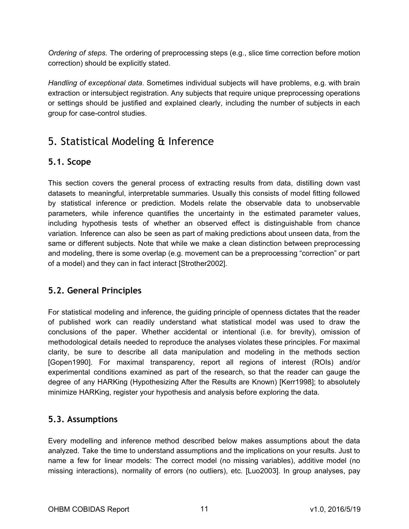*Ordering of steps.* The ordering of preprocessing steps (e.g., slice time correction before motion correction) should be explicitly stated.

*Handling of exceptional data*. Sometimes individual subjects will have problems, e.g. with brain extraction or intersubject registration. Any subjects that require unique preprocessing operations or settings should be justified and explained clearly, including the number of subjects in each group for case-control studies.

# <span id="page-10-0"></span>5. Statistical Modeling & Inference

### <span id="page-10-1"></span>**5.1. Scope**

This section covers the general process of extracting results from data, distilling down vast datasets to meaningful, interpretable summaries. Usually this consists of model fitting followed by statistical inference or prediction. Models relate the observable data to unobservable parameters, while inference quantifies the uncertainty in the estimated parameter values, including hypothesis tests of whether an observed effect is distinguishable from chance variation. Inference can also be seen as part of making predictions about unseen data, from the same or different subjects. Note that while we make a clean distinction between preprocessing and modeling, there is some overlap (e.g. movement can be a preprocessing "correction" or part of a model) and they can in fact interact [Strother2002].

### <span id="page-10-2"></span>**5.2. General Principles**

For statistical modeling and inference, the guiding principle of openness dictates that the reader of published work can readily understand what statistical model was used to draw the conclusions of the paper. Whether accidental or intentional (i.e. for brevity), omission of methodological details needed to reproduce the analyses violates these principles. For maximal clarity, be sure to describe all data manipulation and modeling in the methods section [Gopen1990]. For maximal transparency, report all regions of interest (ROIs) and/or experimental conditions examined as part of the research, so that the reader can gauge the degree of any HARKing (Hypothesizing After the Results are Known) [Kerr1998]; to absolutely minimize HARKing, register your hypothesis and analysis before exploring the data.

### <span id="page-10-3"></span>**5.3. Assumptions**

Every modelling and inference method described below makes assumptions about the data analyzed. Take the time to understand assumptions and the implications on your results. Just to name a few for linear models: The correct model (no missing variables), additive model (no missing interactions), normality of errors (no outliers), etc. [Luo2003]. In group analyses, pay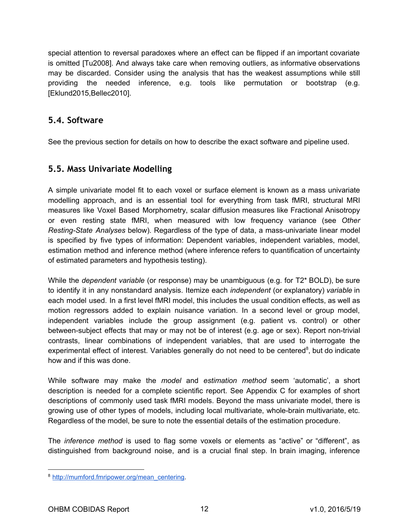special attention to reversal paradoxes where an effect can be flipped if an important covariate is omitted [Tu2008]. And always take care when removing outliers, as informative observations may be discarded. Consider using the analysis that has the weakest assumptions while still providing the needed inference, e.g. tools like permutation or bootstrap (e.g. [Eklund2015,Bellec2010].

#### <span id="page-11-0"></span>**5.4. Software**

See the previous section for details on how to describe the exact software and pipeline used.

### <span id="page-11-1"></span>**5.5. Mass Univariate Modelling**

A simple univariate model fit to each voxel or surface element is known as a mass univariate modelling approach, and is an essential tool for everything from task fMRI, structural MRI measures like Voxel Based Morphometry, scalar diffusion measures like Fractional Anisotropy or even resting state fMRI, when measured with low frequency variance (see *Other Resting-State Analyses* below). Regardless of the type of data, a mass-univariate linear model is specified by five types of information: Dependent variables, independent variables, model, estimation method and inference method (where inference refers to quantification of uncertainty of estimated parameters and hypothesis testing).

While the *dependent variable* (or response) may be unambiguous (e.g. for T2<sup>\*</sup> BOLD), be sure to identify it in any nonstandard analysis. Itemize each *independent* (or explanatory) *variable* in each model used. In a first level fMRI model, this includes the usual condition effects, as well as motion regressors added to explain nuisance variation. In a second level or group model, independent variables include the group assignment (e.g. patient vs. control) or other between-subject effects that may or may not be of interest (e.g. age or sex). Report non-trivial contrasts, linear combinations of independent variables, that are used to interrogate the experimental effect of interest. Variables generally do not need to be centered<sup>8</sup>, but do indicate how and if this was done.

While software may make the model and estimation method seem 'automatic', a short description is needed for a complete scientific report. See Appendix C for examples of short descriptions of commonly used task fMRI models. Beyond the mass univariate model, there is growing use of other types of models, including local multivariate, whole-brain multivariate, etc. Regardless of the model, be sure to note the essential details of the estimation procedure.

The *inference method* is used to flag some voxels or elements as "active" or "different", as distinguished from background noise, and is a crucial final step. In brain imaging, inference

<sup>&</sup>lt;sup>8</sup> [http://mumford.fmripower.org/mean\\_centering.](http://mumford.fmripower.org/mean_centering)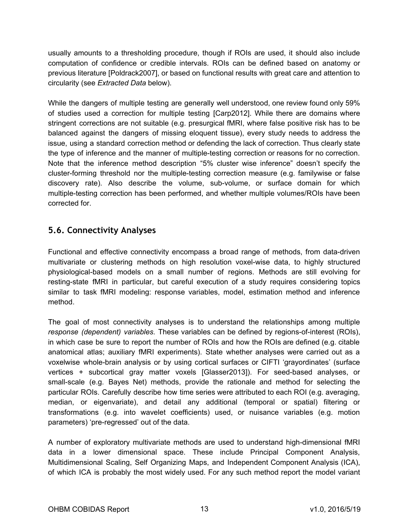usually amounts to a thresholding procedure, though if ROIs are used, it should also include computation of confidence or credible intervals. ROIs can be defined based on anatomy or previous literature [Poldrack2007], or based on functional results with great care and attention to circularity (see *Extracted Data* below).

While the dangers of multiple testing are generally well understood, one review found only 59% of studies used a correction for multiple testing [Carp2012]. While there are domains where stringent corrections are not suitable (e.g. presurgical fMRI, where false positive risk has to be balanced against the dangers of missing eloquent tissue), every study needs to address the issue, using a standard correction method or defending the lack of correction. Thus clearly state the type of inference and the manner of multiple-testing correction or reasons for no correction. Note that the inference method description "5% cluster wise inference" doesn't specify the cluster-forming threshold nor the multiple-testing correction measure (e.g. familywise or false discovery rate). Also describe the volume, sub-volume, or surface domain for which multiple-testing correction has been performed, and whether multiple volumes/ROIs have been corrected for.

### <span id="page-12-0"></span>**5.6. Connectivity Analyses**

Functional and effective connectivity encompass a broad range of methods, from data-driven multivariate or clustering methods on high resolution voxel-wise data, to highly structured physiological-based models on a small number of regions. Methods are still evolving for resting-state fMRI in particular, but careful execution of a study requires considering topics similar to task fMRI modeling: response variables, model, estimation method and inference method.

The goal of most connectivity analyses is to understand the relationships among multiple *response (dependent) variables*. These variables can be defined by regions-of-interest (ROIs), in which case be sure to report the number of ROIs and how the ROIs are defined (e.g. citable anatomical atlas; auxiliary fMRI experiments). State whether analyses were carried out as a voxelwise whole-brain analysis or by using cortical surfaces or CIFTI 'grayordinates' (surface vertices + subcortical gray matter voxels [Glasser2013]). For seed-based analyses, or small-scale (e.g. Bayes Net) methods, provide the rationale and method for selecting the particular ROIs. Carefully describe how time series were attributed to each ROI (e.g. averaging, median, or eigenvariate), and detail any additional (temporal or spatial) filtering or transformations (e.g. into wavelet coefficients) used, or nuisance variables (e.g. motion parameters) 'pre-regressed' out of the data.

A number of exploratory multivariate methods are used to understand high-dimensional fMRI data in a lower dimensional space. These include Principal Component Analysis, Multidimensional Scaling, Self Organizing Maps, and Independent Component Analysis (ICA), of which ICA is probably the most widely used. For any such method report the model variant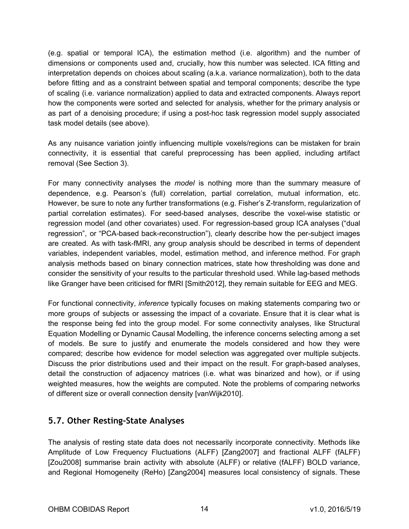(e.g. spatial or temporal ICA), the estimation method (i.e. algorithm) and the number of dimensions or components used and, crucially, how this number was selected. ICA fitting and interpretation depends on choices about scaling (a.k.a. variance normalization), both to the data before fitting and as a constraint between spatial and temporal components; describe the type of scaling (i.e. variance normalization) applied to data and extracted components. Always report how the components were sorted and selected for analysis, whether for the primary analysis or as part of a denoising procedure; if using a post-hoc task regression model supply associated task model details (see above).

As any nuisance variation jointly influencing multiple voxels/regions can be mistaken for brain connectivity, it is essential that careful preprocessing has been applied, including artifact removal (See Section 3).

For many connectivity analyses the model is nothing more than the summary measure of dependence, e.g. Pearson's (full) correlation, partial correlation, mutual information, etc. However, be sure to note any further transformations (e.g. Fisher's Z-transform, regularization of partial correlation estimates). For seed-based analyses, describe the voxel-wise statistic or regression model (and other covariates) used. For regression-based group ICA analyses ("dual regression", or "PCA-based back-reconstruction"), clearly describe how the per-subject images are created. As with task-fMRI, any group analysis should be described in terms of dependent variables, independent variables, model, estimation method, and inference method. For graph analysis methods based on binary connection matrices, state how thresholding was done and consider the sensitivity of your results to the particular threshold used. While lag-based methods like Granger have been criticised for fMRI [Smith2012], they remain suitable for EEG and MEG.

For functional connectivity, *inference* typically focuses on making statements comparing two or more groups of subjects or assessing the impact of a covariate. Ensure that it is clear what is the response being fed into the group model. For some connectivity analyses, like Structural Equation Modelling or Dynamic Causal Modelling, the inference concerns selecting among a set of models. Be sure to justify and enumerate the models considered and how they were compared; describe how evidence for model selection was aggregated over multiple subjects. Discuss the prior distributions used and their impact on the result. For graph-based analyses, detail the construction of adjacency matrices (i.e. what was binarized and how), or if using weighted measures, how the weights are computed. Note the problems of comparing networks of different size or overall connection density [vanWijk2010].

### <span id="page-13-0"></span>**5.7. Other Resting‐State Analyses**

The analysis of resting state data does not necessarily incorporate connectivity. Methods like Amplitude of Low Frequency Fluctuations (ALFF) [Zang2007] and fractional ALFF (fALFF) [Zou2008] summarise brain activity with absolute (ALFF) or relative (fALFF) BOLD variance, and Regional Homogeneity (ReHo) [Zang2004] measures local consistency of signals. These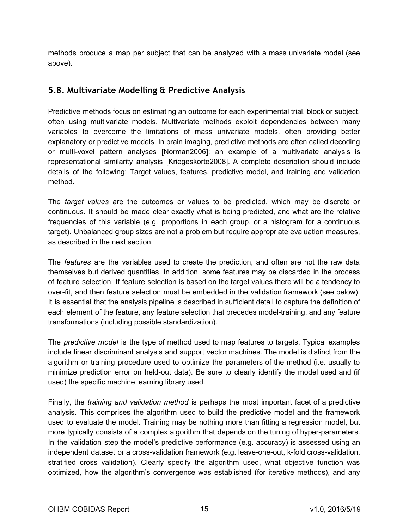methods produce a map per subject that can be analyzed with a mass univariate model (see above).

### <span id="page-14-0"></span>**5.8. Multivariate Modelling & Predictive Analysis**

Predictive methods focus on estimating an outcome for each experimental trial, block or subject, often using multivariate models. Multivariate methods exploit dependencies between many variables to overcome the limitations of mass univariate models, often providing better explanatory or predictive models. In brain imaging, predictive methods are often called decoding or multi-voxel pattern analyses [Norman2006]; an example of a multivariate analysis is representational similarity analysis [Kriegeskorte2008]. A complete description should include details of the following: Target values, features, predictive model, and training and validation method.

The *target values* are the outcomes or values to be predicted, which may be discrete or continuous. It should be made clear exactly what is being predicted, and what are the relative frequencies of this variable (e.g. proportions in each group, or a histogram for a continuous target). Unbalanced group sizes are not a problem but require appropriate evaluation measures, as described in the next section.

The *features* are the variables used to create the prediction, and often are not the raw data themselves but derived quantities. In addition, some features may be discarded in the process of feature selection. If feature selection is based on the target values there will be a tendency to over-fit, and then feature selection must be embedded in the validation framework (see below). It is essential that the analysis pipeline is described in sufficient detail to capture the definition of each element of the feature, any feature selection that precedes model-training, and any feature transformations (including possible standardization).

The *predictive model* is the type of method used to map features to targets. Typical examples include linear discriminant analysis and support vector machines. The model is distinct from the algorithm or training procedure used to optimize the parameters of the method (i.e. usually to minimize prediction error on held-out data). Be sure to clearly identify the model used and (if used) the specific machine learning library used.

Finally, the *training and validation method* is perhaps the most important facet of a predictive analysis. This comprises the algorithm used to build the predictive model and the framework used to evaluate the model. Training may be nothing more than fitting a regression model, but more typically consists of a complex algorithm that depends on the tuning of hyper-parameters. In the validation step the model's predictive performance (e.g. accuracy) is assessed using an independent dataset or a cross-validation framework (e.g. leave-one-out, k-fold cross-validation, stratified cross validation). Clearly specify the algorithm used, what objective function was optimized, how the algorithm's convergence was established (for iterative methods), and any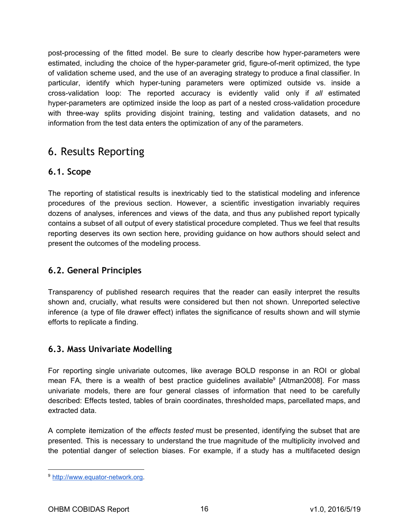post-processing of the fitted model. Be sure to clearly describe how hyper-parameters were estimated, including the choice of the hyper-parameter grid, figure-of-merit optimized, the type of validation scheme used, and the use of an averaging strategy to produce a final classifier. In particular, identify which hyper-tuning parameters were optimized outside vs. inside a cross-validation loop: The reported accuracy is evidently valid only if *all* estimated hyper-parameters are optimized inside the loop as part of a nested cross-validation procedure with three-way splits providing disjoint training, testing and validation datasets, and no information from the test data enters the optimization of any of the parameters.

# <span id="page-15-0"></span>6. Results Reporting

### <span id="page-15-1"></span>**6.1. Scope**

The reporting of statistical results is inextricably tied to the statistical modeling and inference procedures of the previous section. However, a scientific investigation invariably requires dozens of analyses, inferences and views of the data, and thus any published report typically contains a subset of all output of every statistical procedure completed. Thus we feel that results reporting deserves its own section here, providing guidance on how authors should select and present the outcomes of the modeling process.

### <span id="page-15-2"></span>**6.2. General Principles**

Transparency of published research requires that the reader can easily interpret the results shown and, crucially, what results were considered but then not shown. Unreported selective inference (a type of file drawer effect) inflates the significance of results shown and will stymie efforts to replicate a finding.

### <span id="page-15-3"></span>**6.3. Mass Univariate Modelling**

For reporting single univariate outcomes, like average BOLD response in an ROI or global mean FA, there is a wealth of best practice guidelines available<sup>9</sup> [Altman2008]. For mass univariate models, there are four general classes of information that need to be carefully described: Effects tested, tables of brain coordinates, thresholded maps, parcellated maps, and extracted data.

A complete itemization of the *effects tested* must be presented, identifying the subset that are presented. This is necessary to understand the true magnitude of the multiplicity involved and the potential danger of selection biases. For example, if a study has a multifaceted design

<sup>9</sup> [http://www.equator-network.org.](http://www.equator-network.org/)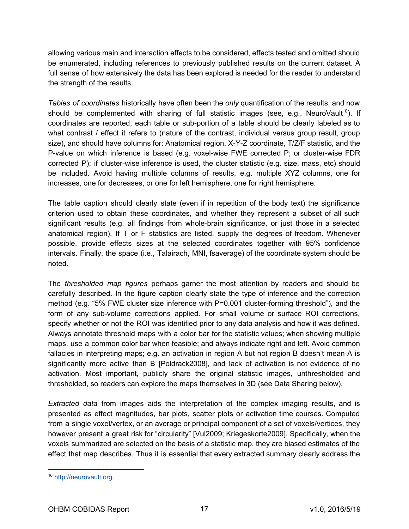allowing various main and interaction effects to be considered, effects tested and omitted should be enumerated, including references to previously published results on the current dataset. A full sense of how extensively the data has been explored is needed for the reader to understand the strength of the results.

*Tables of coordinates* historically have often been the *only* quantification of the results, and now should be complemented with sharing of full statistic images (see, e.g., NeuroVault<sup>10</sup>). If coordinates are reported, each table or sub-portion of a table should be clearly labeled as to what contrast / effect it refers to (nature of the contrast, individual versus group result, group size), and should have columns for: Anatomical region, X-Y-Z coordinate, T/Z/F statistic, and the P-value on which inference is based (e.g. voxel-wise FWE corrected P; or cluster-wise FDR corrected P); if cluster-wise inference is used, the cluster statistic (e.g. size, mass, etc) should be included. Avoid having multiple columns of results, e.g. multiple XYZ columns, one for increases, one for decreases, or one for left hemisphere, one for right hemisphere.

The table caption should clearly state (even if in repetition of the body text) the significance criterion used to obtain these coordinates, and whether they represent a subset of all such significant results (e.g. all findings from whole-brain significance, or just those in a selected anatomical region). If T or F statistics are listed, supply the degrees of freedom. Whenever possible, provide effects sizes at the selected coordinates together with 95% confidence intervals. Finally, the space (i.e., Talairach, MNI, fsaverage) of the coordinate system should be noted.

The *thresholded map figures* perhaps garner the most attention by readers and should be carefully described. In the figure caption clearly state the type of inference and the correction method (e.g. "5% FWE cluster size inference with P=0.001 cluster-forming threshold"), and the form of any sub-volume corrections applied. For small volume or surface ROI corrections, specify whether or not the ROI was identified prior to any data analysis and how it was defined. Always annotate threshold maps with a color bar for the statistic values; when showing multiple maps, use a common color bar when feasible; and always indicate right and left. Avoid common fallacies in interpreting maps; e.g. an activation in region A but not region B doesn't mean A is significantly more active than B [Poldrack2008], and lack of activation is not evidence of no activation. Most important, publicly share the original statistic images, unthresholded and thresholded, so readers can explore the maps themselves in 3D (see Data Sharing below).

*Extracted data* from images aids the interpretation of the complex imaging results, and is presented as effect magnitudes, bar plots, scatter plots or activation time courses. Computed from a single voxel/vertex, or an average or principal component of a set of voxels/vertices, they however present a great risk for "circularity" [Vul2009; Kriegeskorte2009]. Specifically, when the voxels summarized are selected on the basis of a statistic map, they are biased estimates of the effect that map describes. Thus it is essential that every extracted summary clearly address the

<sup>10</sup> [http://neurovault.org.](http://neurovault.org/)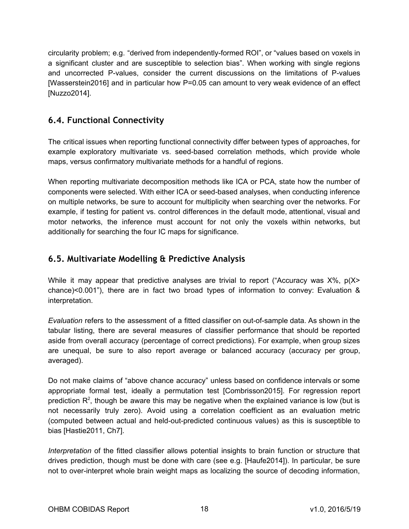circularity problem; e.g. "derived from independently-formed ROI", or "values based on voxels in a significant cluster and are susceptible to selection bias". When working with single regions and uncorrected P-values, consider the current discussions on the limitations of P-values [Wasserstein2016] and in particular how P=0.05 can amount to very weak evidence of an effect [Nuzzo2014].

### <span id="page-17-0"></span>**6.4. Functional Connectivity**

The critical issues when reporting functional connectivity differ between types of approaches, for example exploratory multivariate vs. seed-based correlation methods, which provide whole maps, versus confirmatory multivariate methods for a handful of regions.

When reporting multivariate decomposition methods like ICA or PCA, state how the number of components were selected. With either ICA or seed-based analyses, when conducting inference on multiple networks, be sure to account for multiplicity when searching over the networks. For example, if testing for patient vs. control differences in the default mode, attentional, visual and motor networks, the inference must account for not only the voxels within networks, but additionally for searching the four IC maps for significance.

### <span id="page-17-1"></span>**6.5. Multivariate Modelling & Predictive Analysis**

While it may appear that predictive analyses are trivial to report ("Accuracy was  $X\%$ ,  $p(X>$ chance)<0.001"), there are in fact two broad types of information to convey: Evaluation & interpretation.

*Evaluation* refers to the assessment of a fitted classifier on out-of-sample data. As shown in the tabular listing, there are several measures of classifier performance that should be reported aside from overall accuracy (percentage of correct predictions). For example, when group sizes are unequal, be sure to also report average or balanced accuracy (accuracy per group, averaged).

Do not make claims of "above chance accuracy" unless based on confidence intervals or some appropriate formal test, ideally a permutation test [Combrisson2015]. For regression report prediction  $\mathsf{R}^2$ , though be aware this may be negative when the explained variance is low (but is not necessarily truly zero). Avoid using a correlation coefficient as an evaluation metric (computed between actual and held-out-predicted continuous values) as this is susceptible to bias [Hastie2011, Ch7].

*Interpretation* of the fitted classifier allows potential insights to brain function or structure that drives prediction, though must be done with care (see e.g. [Haufe2014]). In particular, be sure not to over-interpret whole brain weight maps as localizing the source of decoding information,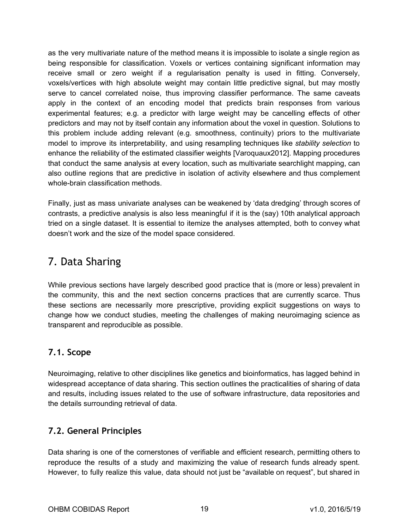as the very multivariate nature of the method means it is impossible to isolate a single region as being responsible for classification. Voxels or vertices containing significant information may receive small or zero weight if a regularisation penalty is used in fitting. Conversely, voxels/vertices with high absolute weight may contain little predictive signal, but may mostly serve to cancel correlated noise, thus improving classifier performance. The same caveats apply in the context of an encoding model that predicts brain responses from various experimental features; e.g. a predictor with large weight may be cancelling effects of other predictors and may not by itself contain any information about the voxel in question. Solutions to this problem include adding relevant (e.g. smoothness, continuity) priors to the multivariate model to improve its interpretability, and using resampling techniques like *stability selection* to enhance the reliability of the estimated classifier weights [Varoquaux2012]. Mapping procedures that conduct the same analysis at every location, such as multivariate searchlight mapping, can also outline regions that are predictive in isolation of activity elsewhere and thus complement whole-brain classification methods.

Finally, just as mass univariate analyses can be weakened by 'data dredging' through scores of contrasts, a predictive analysis is also less meaningful if it is the (say) 10th analytical approach tried on a single dataset. It is essential to itemize the analyses attempted, both to convey what doesn't work and the size of the model space considered.

# <span id="page-18-0"></span>7. Data Sharing

While previous sections have largely described good practice that is (more or less) prevalent in the community, this and the next section concerns practices that are currently scarce. Thus these sections are necessarily more prescriptive, providing explicit suggestions on ways to change how we conduct studies, meeting the challenges of making neuroimaging science as transparent and reproducible as possible.

# <span id="page-18-1"></span>**7.1. Scope**

Neuroimaging, relative to other disciplines like genetics and bioinformatics, has lagged behind in widespread acceptance of data sharing. This section outlines the practicalities of sharing of data and results, including issues related to the use of software infrastructure, data repositories and the details surrounding retrieval of data.

# <span id="page-18-2"></span>**7.2. General Principles**

Data sharing is one of the cornerstones of verifiable and efficient research, permitting others to reproduce the results of a study and maximizing the value of research funds already spent. However, to fully realize this value, data should not just be "available on request", but shared in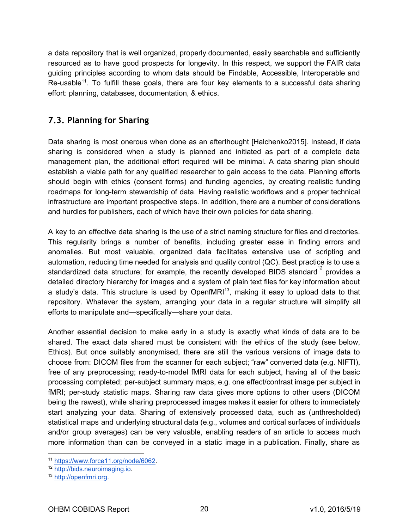a data repository that is well organized, properly documented, easily searchable and sufficiently resourced as to have good prospects for longevity. In this respect, we support the FAIR data guiding principles according to whom data should be Findable, Accessible, Interoperable and Re-usable<sup>11</sup>. To fulfill these goals, there are four key elements to a successful data sharing effort: planning, databases, documentation, & ethics.

### <span id="page-19-0"></span>**7.3. Planning for Sharing**

Data sharing is most onerous when done as an afterthought [Halchenko2015]. Instead, if data sharing is considered when a study is planned and initiated as part of a complete data management plan, the additional effort required will be minimal. A data sharing plan should establish a viable path for any qualified researcher to gain access to the data. Planning efforts should begin with ethics (consent forms) and funding agencies, by creating realistic funding roadmaps for long-term stewardship of data. Having realistic workflows and a proper technical infrastructure are important prospective steps. In addition, there are a number of considerations and hurdles for publishers, each of which have their own policies for data sharing.

A key to an effective data sharing is the use of a strict naming structure for files and directories. This regularity brings a number of benefits, including greater ease in finding errors and anomalies. But most valuable, organized data facilitates extensive use of scripting and automation, reducing time needed for analysis and quality control (QC). Best practice is to use a standardized data structure; for example, the recently developed BIDS standard<sup>12</sup> provides a detailed directory hierarchy for images and a system of plain text files for key information about a study's data. This structure is used by OpenfMRI<sup>13</sup>, making it easy to upload data to that repository. Whatever the system, arranging your data in a regular structure will simplify all efforts to manipulate and—specifically—share your data.

Another essential decision to make early in a study is exactly what kinds of data are to be shared. The exact data shared must be consistent with the ethics of the study (see below, Ethics). But once suitably anonymised, there are still the various versions of image data to choose from: DICOM files from the scanner for each subject; "raw" converted data (e.g. NIFTI), free of any preprocessing; ready-to-model fMRI data for each subject, having all of the basic processing completed; per-subject summary maps, e.g. one effect/contrast image per subject in fMRI; per-study statistic maps. Sharing raw data gives more options to other users (DICOM being the rawest), while sharing preprocessed images makes it easier for others to immediately start analyzing your data. Sharing of extensively processed data, such as (unthresholded) statistical maps and underlying structural data (e.g., volumes and cortical surfaces of individuals and/or group averages) can be very valuable, enabling readers of an article to access much more information than can be conveyed in a static image in a publication. Finally, share as

<sup>11</sup> [https://www.force11.org/node/6062.](https://www.force11.org/node/6062)

<sup>12</sup> [http://bids.neuroimaging.io.](http://bids.neuroimaging.io/)

<sup>13</sup> [http://openfmri.org.](http://openfmri.org/)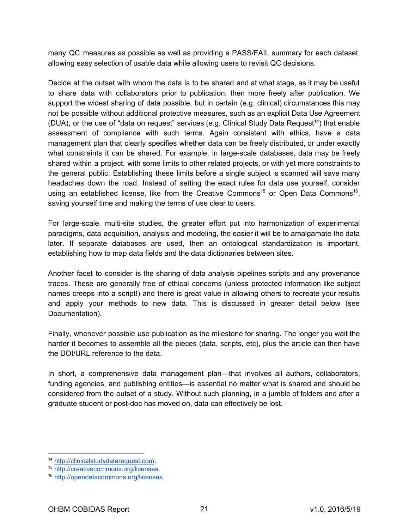many QC measures as possible as well as providing a PASS/FAIL summary for each dataset, allowing easy selection of usable data while allowing users to revisit QC decisions.

Decide at the outset with whom the data is to be shared and at what stage, as it may be useful to share data with collaborators prior to publication, then more freely after publication. We support the widest sharing of data possible, but in certain (e.g. clinical) circumstances this may not be possible without additional protective measures, such as an explicit Data Use Agreement (DUA), or the use of "data on request" services (e.g. Clinical Study Data Request<sup>14</sup>) that enable assessment of compliance with such terms. Again consistent with ethics, have a data management plan that clearly specifies whether data can be freely distributed, or under exactly what constraints it can be shared. For example, in large-scale databases, data may be freely shared within a project, with some limits to other related projects, or with yet more constraints to the general public. Establishing these limits before a single subject is scanned will save many headaches down the road. Instead of setting the exact rules for data use yourself, consider using an established license, like from the Creative Commons<sup>15</sup> or Open Data Commons<sup>16</sup>, saving yourself time and making the terms of use clear to users.

For large-scale, multi-site studies, the greater effort put into harmonization of experimental paradigms, data acquisition, analysis and modeling, the easier it will be to amalgamate the data later. If separate databases are used, then an ontological standardization is important, establishing how to map data fields and the data dictionaries between sites.

Another facet to consider is the sharing of data analysis pipelines scripts and any provenance traces. These are generally free of ethical concerns (unless protected information like subject names creeps into a script!) and there is great value in allowing others to recreate your results and apply your methods to new data. This is discussed in greater detail below (see Documentation).

Finally, whenever possible use publication as the milestone for sharing. The longer you wait the harder it becomes to assemble all the pieces (data, scripts, etc), plus the article can then have the DOI/URL reference to the data.

In short, a comprehensive data management plan—that involves all authors, collaborators, funding agencies, and publishing entities—is essential no matter what is shared and should be considered from the outset of a study. Without such planning, in a jumble of folders and after a graduate student or post-doc has moved on, data can effectively be lost.

<sup>14</sup> [http://clinicalstudydatarequest.com.](http://clinicalstudydatarequest.com/)

<sup>15</sup> [http://creativecommons.org/licenses.](http://creativecommons.org/licenses)

<sup>16</sup> [http://opendatacommons.org/licenses.](http://opendatacommons.org/licenses)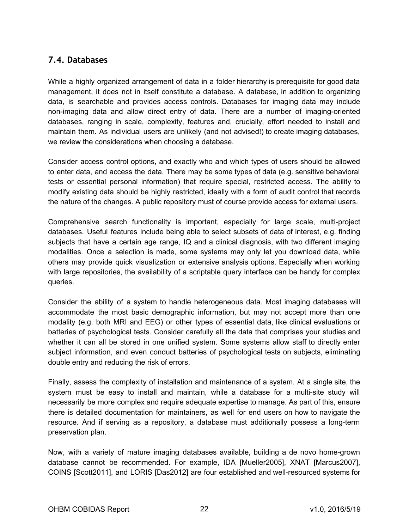### <span id="page-21-0"></span>**7.4. Databases**

While a highly organized arrangement of data in a folder hierarchy is prerequisite for good data management, it does not in itself constitute a database. A database, in addition to organizing data, is searchable and provides access controls. Databases for imaging data may include non-imaging data and allow direct entry of data. There are a number of imaging-oriented databases, ranging in scale, complexity, features and, crucially, effort needed to install and maintain them. As individual users are unlikely (and not advised!) to create imaging databases, we review the considerations when choosing a database.

Consider access control options, and exactly who and which types of users should be allowed to enter data, and access the data. There may be some types of data (e.g. sensitive behavioral tests or essential personal information) that require special, restricted access. The ability to modify existing data should be highly restricted, ideally with a form of audit control that records the nature of the changes. A public repository must of course provide access for external users.

Comprehensive search functionality is important, especially for large scale, multi-project databases. Useful features include being able to select subsets of data of interest, e.g. finding subjects that have a certain age range, IQ and a clinical diagnosis, with two different imaging modalities. Once a selection is made, some systems may only let you download data, while others may provide quick visualization or extensive analysis options. Especially when working with large repositories, the availability of a scriptable query interface can be handy for complex queries.

Consider the ability of a system to handle heterogeneous data. Most imaging databases will accommodate the most basic demographic information, but may not accept more than one modality (e.g. both MRI and EEG) or other types of essential data, like clinical evaluations or batteries of psychological tests. Consider carefully all the data that comprises your studies and whether it can all be stored in one unified system. Some systems allow staff to directly enter subject information, and even conduct batteries of psychological tests on subjects, eliminating double entry and reducing the risk of errors.

Finally, assess the complexity of installation and maintenance of a system. At a single site, the system must be easy to install and maintain, while a database for a multi-site study will necessarily be more complex and require adequate expertise to manage. As part of this, ensure there is detailed documentation for maintainers, as well for end users on how to navigate the resource. And if serving as a repository, a database must additionally possess a long-term preservation plan.

Now, with a variety of mature imaging databases available, building a de novo home-grown database cannot be recommended. For example, IDA [Mueller2005], XNAT [Marcus2007], COINS [Scott2011], and LORIS [Das2012] are four established and well-resourced systems for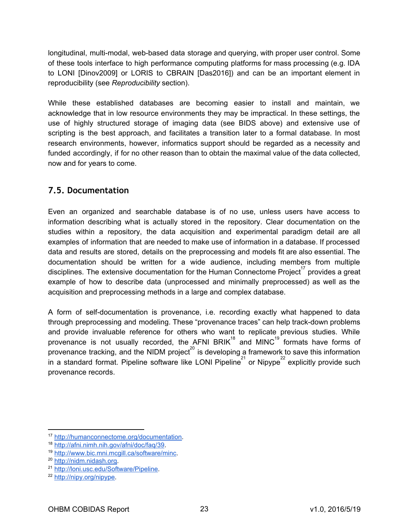longitudinal, multi-modal, web-based data storage and querying, with proper user control. Some of these tools interface to high performance computing platforms for mass processing (e.g. IDA to LONI [Dinov2009] or LORIS to CBRAIN [Das2016]) and can be an important element in reproducibility (see *Reproducibility* section).

While these established databases are becoming easier to install and maintain, we acknowledge that in low resource environments they may be impractical. In these settings, the use of highly structured storage of imaging data (see BIDS above) and extensive use of scripting is the best approach, and facilitates a transition later to a formal database. In most research environments, however, informatics support should be regarded as a necessity and funded accordingly, if for no other reason than to obtain the maximal value of the data collected, now and for years to come.

### <span id="page-22-0"></span>**7.5. Documentation**

Even an organized and searchable database is of no use, unless users have access to information describing what is actually stored in the repository. Clear documentation on the studies within a repository, the data acquisition and experimental paradigm detail are all examples of information that are needed to make use of information in a database. If processed data and results are stored, details on the preprocessing and models fit are also essential. The documentation should be written for a wide audience, including members from multiple disciplines. The extensive documentation for the Human Connectome Project<sup>17</sup> provides a great example of how to describe data (unprocessed and minimally preprocessed) as well as the acquisition and preprocessing methods in a large and complex database.

A form of self-documentation is provenance, i.e. recording exactly what happened to data through preprocessing and modeling. These "provenance traces" can help track-down problems and provide invaluable reference for others who want to replicate previous studies. While provenance is not usually recorded, the AFNI BRIK<sup>18</sup> and MINC<sup>19</sup> formats have forms of provenance tracking, and the NIDM project<sup>20</sup> is developing a framework to save this information provenance tracking, and the NIDM project<sup>20</sup> in a standard format. Pipeline software like LONI Pipeline $^{21}$  or Nipype<sup>22</sup> explicitly provide such provenance records.

<sup>17</sup> <http://humanconnectome.org/documentation>.

<sup>18</sup> [http://afni.nimh.nih.gov/afni/doc/faq/39.](http://afni.nimh.nih.gov/afni/doc/faq/39)

<sup>19</sup> [http://www.bic.mni.mcgill.ca/software/minc.](http://www.bic.mni.mcgill.ca/software/minc)

<sup>20</sup> [http://nidm.nidash.org.](http://nidm.nidash.org/)

<sup>21</sup> [http://loni.usc.edu/Software/Pipeline.](http://loni.usc.edu/Software/Pipeline)

<sup>22</sup> [http://nipy.org/nipype.](http://nipy.org/nipype)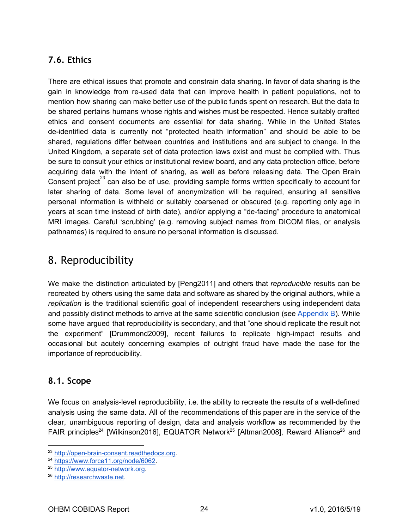# <span id="page-23-0"></span>**7.6. Ethics**

There are ethical issues that promote and constrain data sharing. In favor of data sharing is the gain in knowledge from re-used data that can improve health in patient populations, not to mention how sharing can make better use of the public funds spent on research. But the data to be shared pertains humans whose rights and wishes must be respected. Hence suitably crafted ethics and consent documents are essential for data sharing. While in the United States de-identified data is currently not "protected health information" and should be able to be shared, regulations differ between countries and institutions and are subject to change. In the United Kingdom, a separate set of data protection laws exist and must be complied with. Thus be sure to consult your ethics or institutional review board, and any data protection office, before acquiring data with the intent of sharing, as well as before releasing data. The Open Brain Consent project<sup>23</sup> can also be of use, providing sample forms written specifically to account for later sharing of data. Some level of anonymization will be required, ensuring all sensitive personal information is withheld or suitably coarsened or obscured (e.g. reporting only age in years at scan time instead of birth date), and/or applying a "de-facing" procedure to anatomical MRI images. Careful 'scrubbing' (e.g. removing subject names from DICOM files, or analysis pathnames) is required to ensure no personal information is discussed.

# <span id="page-23-1"></span>8. Reproducibility

We make the distinction articulated by [Peng2011] and others that *reproducible* results can be recreated by others using the same data and software as shared by the original authors, while a *replication* is the traditional scientific goal of independent researchers using independent data and possibly distinct methods to arrive at the same scientific conclusion (see [Appendix](#page-36-0)  $B$ ). While some have argued that reproducibility is secondary, and that "one should replicate the result not the experiment" [Drummond2009], recent failures to replicate high-impact results and occasional but acutely concerning examples of outright fraud have made the case for the importance of reproducibility.

### <span id="page-23-2"></span>**8.1. Scope**

We focus on analysis-level reproducibility, i.e. the ability to recreate the results of a well-defined analysis using the same data. All of the recommendations of this paper are in the service of the clear, unambiguous reporting of design, data and analysis workflow as recommended by the FAIR principles<sup>24</sup> [Wilkinson2016], EQUATOR Network<sup>25</sup> [Altman2008], Reward Alliance<sup>26</sup> and

<sup>23</sup> [http://open-brain-consent.readthedocs.org](http://open-brain-consent.readthedocs.org/).

<sup>24</sup> [https://www.force11.org/node/6062.](https://www.force11.org/node/6062)

<sup>25</sup> [http://www.equator-network.org.](http://www.equator-network.org/)

<sup>26</sup> [http://researchwaste.net.](http://researchwaste.net/)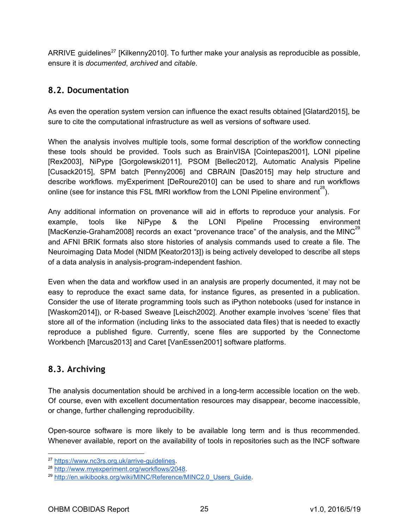ARRIVE guidelines<sup>27</sup> [Kilkenny2010]. To further make your analysis as reproducible as possible, ensure it is *documented*, *archived* and *citable*.

### <span id="page-24-0"></span>**8.2. Documentation**

As even the operation system version can influence the exact results obtained [Glatard2015], be sure to cite the computational infrastructure as well as versions of software used.

When the analysis involves multiple tools, some formal description of the workflow connecting these tools should be provided. Tools such as BrainVISA  [\[Cointepas2](http://paperpile.com/b/O34o03/20oG)001[\],](https://paperpile.com/c/O34o03/20oG) LONI pipeline [\[](https://paperpile.com/c/O34o03/H3ao)[Rex2](http://paperpile.com/b/O34o03/H3ao)00[3\]](https://paperpile.com/c/O34o03/H3ao), NiPype  [[Gorgolewski](http://paperpile.com/b/O34o03/WyBg)201[1\],](https://paperpile.com/c/O34o03/WyBg) PSOM  [\[Bellec2](http://paperpile.com/b/O34o03/FqxW)012[\],](https://paperpile.com/c/O34o03/FqxW) Automatic Analysis Pipeline [Cusack2015], SPM batch  [Penny200[6\]](https://paperpile.com/c/O34o03/a1uh) and CBRAIN [Das2015] may help structure and describe workflows. myExperiment [\[D](https://paperpile.com/c/O34o03/Q0jL)eRoure201[0\]](https://paperpile.com/c/O34o03/Q0jL) can be used to share and run workflows online (see for instance this FSL fMRI workflow from the LONI Pipeline environment<sup>28</sup>).

Any additional information on provenance will aid in efforts to reproduce your analysis. For example, tools like NiPype & the LONI Pipeline Processing environment [MacKenzie-Graham2008] records an exact "provenance trace" of the analysis, and the MINC<sup>29</sup> and AFNI BRIK formats also store histories of analysis commands used to create a file. The Neuroimaging Data Model (NIDM [Keator2013]) is being actively developed to describe all steps of a data analysis in analysis-program-independent fashion.

Even when the data and workflow used in an analysis are properly documented, it may not be easy to reproduce the exact same data, for instance figures, as presented in a publication. Consider the use of literate programming tools such as iPython notebooks (used for instance in [\[](https://paperpile.com/c/O34o03/czRd)[Waskom2](http://paperpile.com/b/O34o03/czRd)01[4\]\)](https://paperpile.com/c/O34o03/czRd), or R-based Sweave  [[Leisch2](http://paperpile.com/b/O34o03/fIzH)002[\].](https://paperpile.com/c/O34o03/fIzH) Another example involves 'scene' files that store all of the information (including links to the associated data files) that is needed to exactly reproduce a published figure. Currently, scene files are supported by the Connectome Workbench [Marcus2013] and Caret [VanEssen2001] software platforms.

# <span id="page-24-1"></span>**8.3. Archiving**

The analysis documentation should be archived in a long-term accessible location on the web. Of course, even with excellent documentation resources may disappear, become inaccessible, or change, further challenging reproducibility.

Open-source software is more likely to be available long term and is thus recommended. Whenever available, report on the availability of tools in repositories such as the INCF software

<sup>27</sup> [https://www.nc3rs.org.uk/arrive-guidelines.](https://www.nc3rs.org.uk/arrive-guidelines)

<sup>28</sup> [http://www.myexperiment.org/workflows/2048.](http://www.myexperiment.org/workflows/2048)

<sup>&</sup>lt;sup>29</sup> http://en.wikibooks.org/wiki/MINC/Reference/MINC2.0 Users Guide.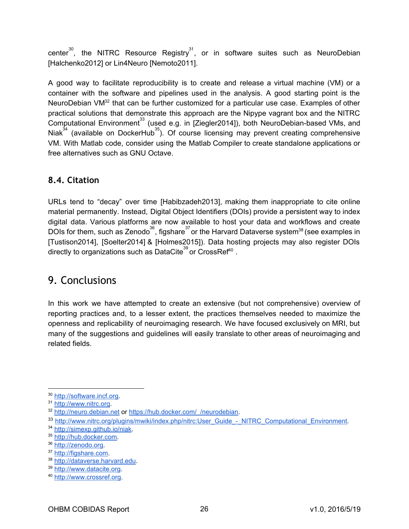center<sup>30</sup>, the NITRC Resource Registry<sup>31</sup>, or in software suites such as NeuroDebian [\[](https://paperpile.com/c/O34o03/Hcze)[Halchenko2](http://paperpile.com/b/O34o03/uOVU)01[2\]](https://paperpile.com/c/O34o03/uOVU) or Lin4Neuro [[Nemoto2](http://paperpile.com/b/O34o03/Hcze)01[1\]](https://paperpile.com/c/O34o03/Hcze).

A good way to facilitate reproducibility is to create and release a virtual machine (VM) or a container with the software and pipelines used in the analysis. A good starting point is the NeuroDebian VM $32$  that can be further customized for a particular use case. Examples of other practical solutions that demonstrate this approach are the Nipype vagrant box and the NITRC ComputationalEnvironment<sup>33</sup> (used e.g. in [\[Ziegler2](http://paperpile.com/b/O34o03/gwAE)01[4\]](https://paperpile.com/c/O34o03/gwAE)), both NeuroDebian-based VMs, and Niak<sup>34</sup> (available on DockerHub<sup>35</sup>). Of course licensing may prevent creating comprehensive VM. With Matlab code, consider using the Matlab Compiler to create standalone applications or free alternatives such as GNU Octave.

# <span id="page-25-0"></span>**8.4. Citation**

URLs tend to "decay" over time [Habibzadeh2013], making them inappropriate to cite online material permanently. Instead, Digital Object Identifiers (DOIs) provide a persistent way to index digital data. Various platforms are now available to host your data and workflows and create DOIs for them, such as Zenodo $^{36}$ , figshare $^{37}$ or the Harvard Dataverse system $^{38}$  (see examples in [\[](https://paperpile.com/c/O34o03/VkIl)[Tustison2](http://paperpile.com/b/O34o03/VkIl)01[4\],](https://paperpile.com/c/O34o03/VkIl) [\[](https://paperpile.com/c/O34o03/4i3N)[Soelter2](http://paperpile.com/b/O34o03/4i3N)014[\]](https://paperpile.com/c/O34o03/4i3N) & [Holmes2015]). Data hosting projects may also register DOIs directly to organizations such as DataCite<sup>39</sup> or CrossRef<sup>40</sup>.

# <span id="page-25-1"></span>9. Conclusions

In this work we have attempted to create an extensive (but not comprehensive) overview of reporting practices and, to a lesser extent, the practices themselves needed to maximize the openness and replicability of neuroimaging research. We have focused exclusively on MRI, but many of the suggestions and guidelines will easily translate to other areas of neuroimaging and related fields.

<sup>30</sup> [http://software.incf.org.](http://software.incf.org/)

<sup>31</sup> [http://www.nitrc.org.](http://www.nitrc.org/)

<sup>&</sup>lt;sup>32</sup> [http://neuro.debian.net](http://neuro.debian.net/) or https://hub.docker.com/ /neurodebian.

<sup>33</sup> [http://www.nitrc.org/plugins/mwiki/index.php/nitrc:User\\_Guide\\_-\\_NITRC\\_Computational\\_Environment.](http://www.nitrc.org/plugins/mwiki/index.php/nitrc:User_Guide_-_NITRC_Computational_Environment)

<sup>34</sup> [http://simexp.github.io/niak.](http://simexp.github.io/niak)

<sup>35</sup> [http://hub.docker.com.](http://hub.docker.com/)

<sup>36</sup> [http://zenodo.org.](http://zenodo.org/)

<sup>37</sup> [http://figshare.com.](http://figshare.com/)

<sup>38</sup> [http://dataverse.harvard.edu.](http://dataverse.harvard.edu/)

<sup>39</sup> [http://www.datacite.org.](http://www.datacite.org/)

<sup>40</sup> [http://www.crossref.org.](http://www.crossref.org/)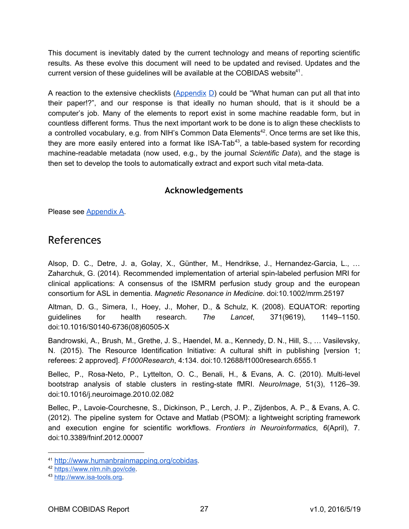This document is inevitably dated by the current technology and means of reporting scientific results. As these evolve this document will need to be updated and revised. Updates and the current version of these guidelines will be available at the COBIDAS website<sup>41</sup>.

A reaction to the extensive checklists ([Appendix](#page-42-0) D) could be "What human can put all that into their paper!?", and our response is that ideally no human should, that is it should be a computer's job. Many of the elements to report exist in some machine readable form, but in countless different forms. Thus the next important work to be done is to align these checklists to a controlled vocabulary, e.g. from NIH's Common Data Elements<sup>42</sup>. Once terms are set like this, they are more easily entered into a format like  $ISA-Tab^{43}$ , a table-based system for recording machine-readable metadata (now used, e.g., by the journal *Scientific Data*), and the stage is then set to develop the tools to automatically extract and export such vital meta-data.

#### **Acknowledgements**

Please see [Appendix A](#page-34-0).

# <span id="page-26-0"></span>References

Alsop, D. C., Detre, J. a, Golay, X., Günther, M., Hendrikse, J., Hernandez-Garcia, L., … Zaharchuk, G. (2014). Recommended implementation of arterial spin-labeled perfusion MRI for clinical applications: A consensus of the ISMRM perfusion study group and the european consortium for ASL in dementia. *Magnetic Resonance in Medicine*. doi:10.1002/mrm.25197

Altman, D. G., Simera, I., Hoey, J., Moher, D., & Schulz, K. (2008). EQUATOR: reporting guidelines for health research. *The Lancet*, 371(9619), 1149–1150. doi:10.1016/S0140-6736(08)60505-X

Bandrowski, A., Brush, M., Grethe, J. S., Haendel, M. a., Kennedy, D. N., Hill, S., … Vasilevsky, N. (2015). The Resource Identification Initiative: A cultural shift in publishing [version 1; referees: 2 approved]. *F1000Research*, 4:134. doi:10.12688/f1000research.6555.1

Bellec, P., Rosa-Neto, P., Lyttelton, O. C., Benali, H., & Evans, A. C. (2010). Multi-level bootstrap analysis of stable clusters in resting-state fMRI. *NeuroImage*, 51(3), 1126–39. doi:10.1016/j.neuroimage.2010.02.082

Bellec, P., Lavoie-Courchesne, S., Dickinson, P., Lerch, J. P., Zijdenbos, A. P., & Evans, A. C. (2012). The pipeline system for Octave and Matlab (PSOM): a lightweight scripting framework and execution engine for scientific workflows. *Frontiers in Neuroinformatics*, 6(April), 7. doi:10.3389/fninf.2012.00007

<sup>41</sup> <http://www.humanbrainmapping.org/cobidas>.

<sup>42</sup> [https://www.nlm.nih.gov/cde.](https://www.nlm.nih.gov/cde)

<sup>43</sup> [http://www.isa-tools.org.](http://www.isa-tools.org/)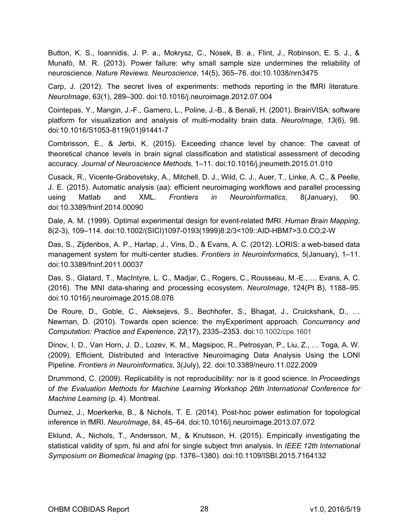Button, K. S., Ioannidis, J. P. a., Mokrysz, C., Nosek, B. a., Flint, J., Robinson, E. S. J., & Munafò, M. R. (2013). Power failure: why small sample size undermines the reliability of neuroscience. *Nature Reviews. Neuroscience*, 14(5), 365–76. doi:10.1038/nrn3475

Carp, J. (2012). The secret lives of experiments: methods reporting in the fMRI literature. *NeuroImage*, 63(1), 289–300. doi:10.1016/j.neuroimage.2012.07.004

Cointepas, Y., Mangin, J.-F., Garnero, L., Poline, J.-B., & Benali, H. (2001). BrainVISA: software platform for visualization and analysis of multi-modality brain data. *NeuroImage*, *13*(6), 98. doi:10.1016/S1053-8119(01)91441-7

Combrisson, E., & Jerbi, K. (2015). Exceeding chance level by chance: The caveat of theoretical chance levels in brain signal classification and statistical assessment of decoding accuracy. *Journal of Neuroscience Methods*, 1–11. doi:10.1016/j.jneumeth.2015.01.010

Cusack, R., Vicente-Grabovetsky, A., Mitchell, D. J., Wild, C. J., Auer, T., Linke, A. C., & Peelle, J. E. (2015). Automatic analysis (aa): efficient neuroimaging workflows and parallel processing using Matlab and XML. *Frontiers in Neuroinformatics*  , 8(January), 90. doi:10.3389/fninf.2014.00090

Dale, A. M. (1999). Optimal experimental design for event-related fMRI. Human Brain Mapping, 8(2-3), 109-114. doi:10.1002/(SICI)1097-0193(1999)8:2/3<109::AID-HBM7>3.0.CO;2-W

Das, S., Zijdenbos, A. P., Harlap, J., Vins, D., & Evans, A. C. (2012). LORIS: a web-based data management system for multi-center studies. *Frontiers in Neuroinformatics*, 5(January), 1–11. doi:10.3389/fninf.2011.00037

Das, S., Glatard, T., MacIntyre, L. C., Madjar, C., Rogers, C., Rousseau, M.-E., … Evans, A. C. (2016). The MNI data-sharing and processing ecosystem. *NeuroImage*, 124(Pt B), 1188–95. doi:10.1016/j.neuroimage.2015.08.076

De Roure, D., Goble, C., Aleksejevs, S., Bechhofer, S., Bhagat, J., Cruickshank, D., … Newman, D. (2010). Towards open science: the myExperiment approach. *Concurrency and Computation: Practice and Experience*, *22*(17), 2335–2353. doi:10.1002/cpe.1601

Dinov, I. D., Van Horn, J. D., Lozev, K. M., Magsipoc, R., Petrosyan, P., Liu, Z., … Toga, A. W. (2009). Efficient, Distributed and Interactive Neuroimaging Data Analysis Using the LONI Pipeline. *Frontiers in Neuroinformatics*, 3(July), 22. doi:10.3389/neuro.11.022.2009

Drummond, C. (2009). Replicability is not reproducibility: nor is it good science. In *Proceedings of the Evaluation Methods for Machine Learning Workshop 26th International Conference for Machine Learning* (p. 4). Montreal.

Durnez, J., Moerkerke, B., & Nichols, T. E. (2014). Post-hoc power estimation for topological inference in fMRI. *NeuroImage*, 84, 45–64. doi:10.1016/j.neuroimage.2013.07.072

Eklund, A., Nichols, T., Andersson, M., & Knutsson, H. (2015). Empirically investigating the statistical validity of spm, fsl and afni for single subject fmri analysis. In  *IEEE 12th International Symposium on Biomedical Imaging* (pp. 1376–1380). doi:10.1109/ISBI.2015.7164132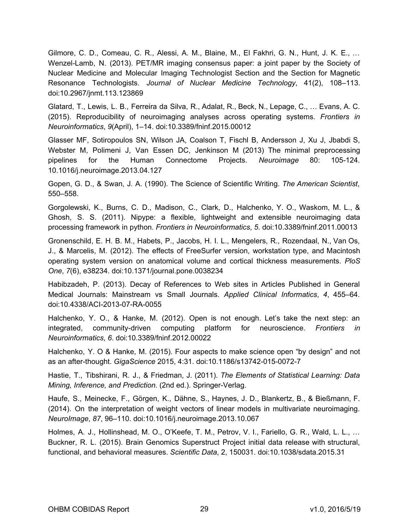Gilmore, C. D., Comeau, C. R., Alessi, A. M., Blaine, M., El Fakhri, G. N., Hunt, J. K. E., … Wenzel-Lamb, N. (2013). PET/MR imaging consensus paper: a joint paper by the Society of Nuclear Medicine and Molecular Imaging Technologist Section and the Section for Magnetic Resonance Technologists. *Journal of Nuclear Medicine Technology*, 41(2), 108–113. doi:10.2967/jnmt.113.123869

Glatard, T., Lewis, L. B., Ferreira da Silva, R., Adalat, R., Beck, N., Lepage, C., … Evans, A. C. (2015). Reproducibility of neuroimaging analyses across operating systems. *Frontiers in Neuroinformatics*, *9*(April), 1–14. doi:10.3389/fninf.2015.00012

Glasser MF, Sotiropoulos SN, Wilson JA, Coalson T, Fischl B, Andersson J, Xu J, Jbabdi S, Webster M, Polimeni J, Van Essen DC, Jenkinson M (2013) The minimal preprocessing pipelines for the Human Connectome Projects. *Neuroimage* 80: 105-124. 10.1016/j.neuroimage.2013.04.127

Gopen, G. D., & Swan, J. A. (1990). The Science of Scientific Writing. *The American Scientist*  , 550–558.

Gorgolewski, K., Burns, C. D., Madison, C., Clark, D., Halchenko, Y. O., Waskom, M. L., & Ghosh, S. S. (2011). Nipype: a flexible, lightweight and extensible neuroimaging data processing framework in python. *Frontiers in Neuroinformatics*, *5*. doi:10.3389/fninf.2011.00013

Gronenschild, E. H. B. M., Habets, P., Jacobs, H. I. L., Mengelers, R., Rozendaal, N., Van Os, J., & Marcelis, M. (2012). The effects of FreeSurfer version, workstation type, and Macintosh operating system version on anatomical volume and cortical thickness measurements. *PloS One*, *7*(6), e38234. doi:10.1371/journal.pone.0038234

Habibzadeh, P. (2013). Decay of References to Web sites in Articles Published in General Medical Journals: Mainstream vs Small Journals. *Applied Clinical Informatics*  , *4*, 455–64. doi:10.4338/ACI-2013-07-RA-0055

Halchenko, Y. O., & Hanke, M. (2012). Open is not enough. Let's take the next step: an integrated, community-driven computing platform for neuroscience. *Frontiers in Neuroinformatics*, *6*. doi:10.3389/fninf.2012.00022

Halchenko, Y. O & Hanke, M. (2015). Four aspects to make science open "by design" and not as an after-thought. *GigaScience* 2015, 4:31. doi:10.1186/s13742-015-0072-7

Hastie, T., Tibshirani, R. J., & Friedman, J. (2011). *The Elements of Statistical Learning: Data Mining, Inference, and Prediction.* (2nd ed.). Springer-Verlag.

Haufe, S., Meinecke, F., Görgen, K., Dähne, S., Haynes, J. D., Blankertz, B., & Bießmann, F. (2014). On the interpretation of weight vectors of linear models in multivariate neuroimaging. *NeuroImage*, *87*, 96–110. doi:10.1016/j.neuroimage.2013.10.067

Holmes, A. J., Hollinshead, M. O., O'Keefe, T. M., Petrov, V. I., Fariello, G. R., Wald, L. L., … Buckner, R. L. (2015). Brain Genomics Superstruct Project initial data release with structural, functional, and behavioral measures. *Scientific Data*, 2, 150031. doi:10.1038/sdata.2015.31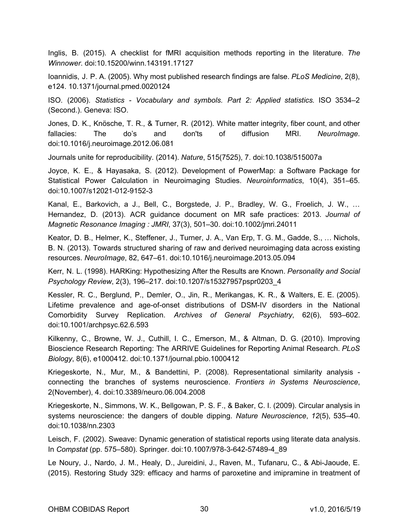Inglis, B. (2015). A checklist for fMRI acquisition methods reporting in the literature. *The Winnower*. doi:10.15200/winn.143191.17127

Ioannidis, J. P. A. (2005). Why most published research findings are false. *PLoS Medicine*, 2(8), e124. 10.1371/journal.pmed.0020124

ISO. (2006). *Statistics - Vocabulary and symbols. Part 2: Applied statistics.*  ISO 3534–2 (Second.). Geneva: ISO.

Jones, D. K., Knösche, T. R., & Turner, R. (2012). White matter integrity, fiber count, and other fallacies: The do's and don'ts of diffusion MRI. *NeuroImage*. doi:10.1016/j.neuroimage.2012.06.081

Journals unite for reproducibility. (2014). *Nature*, 515(7525), 7. doi:10.1038/515007a

Joyce, K. E., & Hayasaka, S. (2012). Development of PowerMap: a Software Package for Statistical Power Calculation in Neuroimaging Studies. *Neuroinformatics*, 10(4), 351–65. doi:10.1007/s12021-012-9152-3

Kanal, E., Barkovich, a J., Bell, C., Borgstede, J. P., Bradley, W. G., Froelich, J. W., … Hernandez, D. (2013). ACR guidance document on MR safe practices: 2013. *Journal of Magnetic Resonance Imaging : JMRI*, 37(3), 501–30. doi:10.1002/jmri.24011

Keator, D. B., Helmer, K., Steffener, J., Turner, J. A., Van Erp, T. G. M., Gadde, S., … Nichols, B. N. (2013). Towards structured sharing of raw and derived neuroimaging data across existing resources. *NeuroImage*, 82, 647–61. doi:10.1016/j.neuroimage.2013.05.094

Kerr, N. L. (1998). HARKing: Hypothesizing After the Results are Known. *Personality and Social Psychology Review*, 2(3), 196–217. doi:10.1207/s15327957pspr0203\_4

Kessler, R. C., Berglund, P., Demler, O., Jin, R., Merikangas, K. R., & Walters, E. E. (2005). Lifetime prevalence and age-of-onset distributions of DSM-IV disorders in the National Comorbidity Survey Replication. Archives of General Psychiatry, 62(6), 593–602. doi:10.1001/archpsyc.62.6.593

Kilkenny, C., Browne, W. J., Cuthill, I. C., Emerson, M., & Altman, D. G. (2010). Improving Bioscience Research Reporting: The ARRIVE Guidelines for Reporting Animal Research. *PLoS Biology*, 8(6), e1000412. doi:10.1371/journal.pbio.1000412

Kriegeskorte, N., Mur, M., & Bandettini, P. (2008). Representational similarity analysis connecting the branches of systems neuroscience. Frontiers in Systems Neuroscience, 2(November), 4. doi:10.3389/neuro.06.004.2008

Kriegeskorte, N., Simmons, W. K., Bellgowan, P. S. F., & Baker, C. I. (2009). Circular analysis in systems neuroscience: the dangers of double dipping. *Nature Neuroscience*, *12*(5), 535–40. doi:10.1038/nn.2303

Leisch, F. (2002). Sweave: Dynamic generation of statistical reports using literate data analysis. In *Compstat* (pp. 575–580). Springer. doi:10.1007/978-3-642-57489-4 89

Le Noury, J., Nardo, J. M., Healy, D., Jureidini, J., Raven, M., Tufanaru, C., & Abi-Jaoude, E. (2015). Restoring Study 329: efficacy and harms of paroxetine and imipramine in treatment of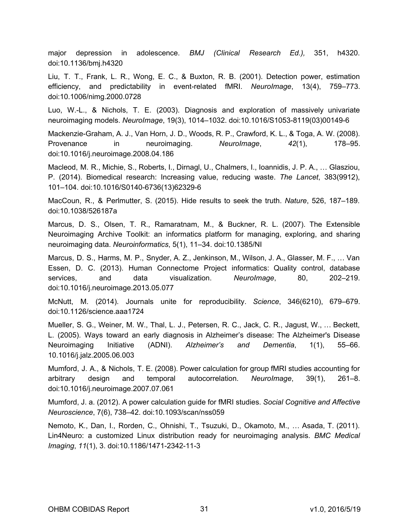major depression in adolescence. *BMJ (Clinical Research Ed.),*  351, h4320. doi:10.1136/bmj.h4320

Liu, T. T., Frank, L. R., Wong, E. C., & Buxton, R. B. (2001). Detection power, estimation efficiency, and predictability in event-related fMRI. *NeuroImage*, 13(4), 759–773. doi:10.1006/nimg.2000.0728

Luo, W.-L., & Nichols, T. E. (2003). Diagnosis and exploration of massively univariate neuroimaging models. Neurolmage, 19(3), 1014-1032. doi:10.1016/S1053-8119(03)00149-6

Mackenzie-Graham, A. J., Van Horn, J. D., Woods, R. P., Crawford, K. L., & Toga, A. W. (2008). Provenance in neuroimaging. *NeuroImage*, *42*(1), 178–95. doi:10.1016/j.neuroimage.2008.04.186

Macleod, M. R., Michie, S., Roberts, I., Dirnagl, U., Chalmers, I., Ioannidis, J. P. A., … Glasziou, P. (2014). Biomedical research: Increasing value, reducing waste. *The Lancet*, 383(9912), 101-104. doi:10.1016/S0140-6736(13)62329-6

MacCoun, R., & Perlmutter, S. (2015). Hide results to seek the truth. *Nature*, 526, 187–189. doi:10.1038/526187a

Marcus, D. S., Olsen, T. R., Ramaratnam, M., & Buckner, R. L. (2007). The Extensible Neuroimaging Archive Toolkit: an informatics platform for managing, exploring, and sharing neuroimaging data. *Neuroinformatics*, 5(1), 11–34. doi:10.1385/NI

Marcus, D. S., Harms, M. P., Snyder, A. Z., Jenkinson, M., Wilson, J. A., Glasser, M. F., … Van Essen, D. C. (2013). Human Connectome Project informatics: Quality control, database services, and data visualization. *NeuroImage*, 80, 202–219. doi:10.1016/j.neuroimage.2013.05.077

McNutt, M. (2014). Journals unite for reproducibility. *Science*, 346(6210), 679–679. doi:10.1126/science.aaa1724

Mueller, S. G., Weiner, M. W., Thal, L. J., Petersen, R. C., Jack, C. R., Jagust, W., … Beckett, L. (2005). Ways toward an early diagnosis in Alzheimer's disease: The Alzheimer's Disease Neuroimaging Initiative (ADNI). Alzheimer's and Dementia, 1(1), 55–66. 10.1016/j.jalz.2005.06.003

Mumford, J. A., & Nichols, T. E. (2008). Power calculation for group fMRI studies accounting for arbitrary design and temporal autocorrelation. *NeuroImage*, 39(1), 261–8. doi:10.1016/j.neuroimage.2007.07.061

Mumford, J. a. (2012). A power calculation guide for fMRI studies. *Social Cognitive and Affective Neuroscience*, 7(6), 738–42. doi:10.1093/scan/nss059

Nemoto, K., Dan, I., Rorden, C., Ohnishi, T., Tsuzuki, D., Okamoto, M., … Asada, T. (2011). Lin4Neuro: a customized Linux distribution ready for neuroimaging analysis. *BMC Medical Imaging*, 11(1), 3. doi:10.1186/1471-2342-11-3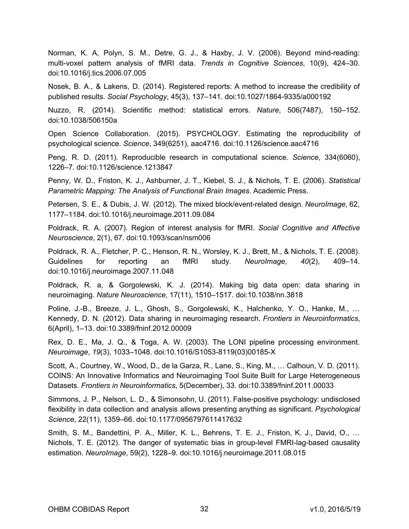Norman, K. A, Polyn, S. M., Detre, G. J., & Haxby, J. V. (2006). Beyond mind-reading: multi-voxel pattern analysis of fMRI data. *Trends in Cognitive Sciences*  , 10(9), 424–30. doi:10.1016/j.tics.2006.07.005

Nosek, B. A., & Lakens, D. (2014). Registered reports: A method to increase the credibility of published results. *Social Psychology*, 45(3), 137–141. doi:10.1027/1864-9335/a000192

Nuzzo, R. (2014). Scientific method: statistical errors. *Nature*, 506(7487), 150–152. doi:10.1038/506150a

Open Science Collaboration. (2015). PSYCHOLOGY. Estimating the reproducibility of psychological science. *Science*, 349(6251), aac4716. doi:10.1126/science.aac4716

Peng, R. D. (2011). Reproducible research in computational science. *Science*, 334(6060), 1226–7. doi:10.1126/science.1213847

Penny, W. D., Friston, K. J., Ashburner, J. T., Kiebel, S. J., & Nichols, T. E. (2006). *Statistical Parametric Mapping: The Analysis of Functional Brain Images*. Academic Press.

Petersen, S. E., & Dubis, J. W. (2012). The mixed block/event-related design. *NeuroImage*, 62, 1177–1184. doi:10.1016/j.neuroimage.2011.09.084

Poldrack, R. A. (2007). Region of interest analysis for fMRI. *Social Cognitive and Affective Neuroscience*, 2(1), 67. doi:10.1093/scan/nsm006

Poldrack, R. A., Fletcher, P. C., Henson, R. N., Worsley, K. J., Brett, M., & Nichols, T. E. (2008). Guidelines for reporting an fMRI study. *NeuroImage*, *40*(2), 409–14. doi:10.1016/j.neuroimage.2007.11.048

Poldrack, R. a, & Gorgolewski, K. J. (2014). Making big data open: data sharing in neuroimaging. *Nature Neuroscience*, 17(11), 1510–1517. doi:10.1038/nn.3818

Poline, J.-B., Breeze, J. L., Ghosh, S., Gorgolewski, K., Halchenko, Y. O., Hanke, M., … Kennedy, D. N. (2012). Data sharing in neuroimaging research. *Frontiers in Neuroinformatics*  , 6(April), 1–13. doi:10.3389/fninf.2012.00009

Rex, D. E., Ma, J. Q., & Toga, A. W. (2003). The LONI pipeline processing environment. *Neuroimage, 19*(3), 1033-1048. doi:10.1016/S1053-8119(03)00185-X

Scott, A., Courtney, W., Wood, D., de la Garza, R., Lane, S., King, M., … Calhoun, V. D. (2011). COINS: An Innovative Informatics and Neuroimaging Tool Suite Built for Large Heterogeneous Datasets. *Frontiers in Neuroinformatics*, 5(December), 33. doi:10.3389/fninf.2011.00033

Simmons, J. P., Nelson, L. D., & Simonsohn, U. (2011). False-positive psychology: undisclosed flexibility in data collection and analysis allows presenting anything as significant. *Psychological Science*, 22(11), 1359–66. doi:10.1177/0956797611417632

Smith, S. M., Bandettini, P. A., Miller, K. L., Behrens, T. E. J., Friston, K. J., David, O., … Nichols, T. E. (2012). The danger of systematic bias in group-level FMRI-lag-based causality estimation. *NeuroImage*, 59(2), 1228–9. doi:10.1016/j.neuroimage.2011.08.015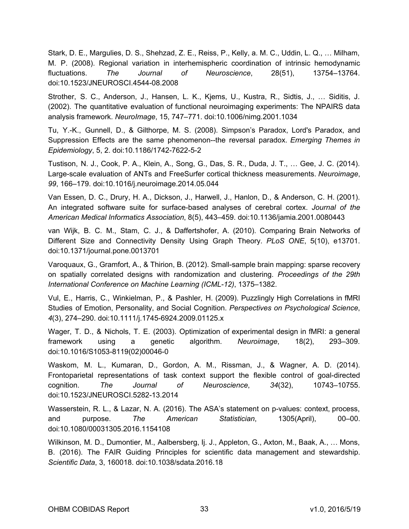Stark, D. E., Margulies, D. S., Shehzad, Z. E., Reiss, P., Kelly, a. M. C., Uddin, L. Q., … Milham, M. P. (2008). Regional variation in interhemispheric coordination of intrinsic hemodynamic fluctuations. *The Journal of Neuroscience*, 28(51), 13754–13764. doi:10.1523/JNEUROSCI.4544-08.2008

Strother, S. C., Anderson, J., Hansen, L. K., Kjems, U., Kustra, R., Sidtis, J., … Siditis, J. (2002). The quantitative evaluation of functional neuroimaging experiments: The NPAIRS data analysis framework. *NeuroImage*, 15, 747–771. doi:10.1006/nimg.2001.1034

Tu, Y.-K., Gunnell, D., & Gilthorpe, M. S. (2008). Simpson's Paradox, Lord's Paradox, and Suppression Effects are the same phenomenon--the reversal paradox. *Emerging Themes in Epidemiology*, 5, 2. doi:10.1186/1742-7622-5-2

Tustison, N. J., Cook, P. A., Klein, A., Song, G., Das, S. R., Duda, J. T., … Gee, J. C. (2014). Large-scale evaluation of ANTs and FreeSurfer cortical thickness measurements. *Neuroimage*, *99*, 166–179. doi:10.1016/j.neuroimage.2014.05.044

Van Essen, D. C., Drury, H. A., Dickson, J., Harwell, J., Hanlon, D., & Anderson, C. H. (2001). An integrated software suite for surface-based analyses of cerebral cortex. *Journal of the American Medical Informatics Association*, 8(5), 443–459. doi:10.1136/jamia.2001.0080443

van Wijk, B. C. M., Stam, C. J., & Daffertshofer, A. (2010). Comparing Brain Networks of Different Size and Connectivity Density Using Graph Theory. *PLoS ONE*, 5(10), e13701. doi:10.1371/journal.pone.0013701

Varoquaux, G., Gramfort, A., & Thirion, B. (2012). Small-sample brain mapping: sparse recovery on spatially correlated designs with randomization and clustering. *Proceedings of the 29th International Conference on Machine Learning (ICML-12)*, 1375–1382.

Vul, E., Harris, C., Winkielman, P., & Pashler, H. (2009). Puzzlingly High Correlations in fMRI Studies of Emotion, Personality, and Social Cognition. *Perspectives on Psychological Science*  , *4*(3), 274–290. doi:10.1111/j.17456924.2009.01125.x

Wager, T. D., & Nichols, T. E. (2003). Optimization of experimental design in fMRI: a general framework using a genetic algorithm. *Neuroimage*, 18(2), 293–309. doi:10.1016/S1053-8119(02)00046-0

Waskom, M. L., Kumaran, D., Gordon, A. M., Rissman, J., & Wagner, A. D. (2014). Frontoparietal representations of task context support the flexible control of goal-directed cognition. The Journal of Neuroscience, 34(32), 10743-10755. doi:10.1523/JNEUROSCI.5282-13.2014

Wasserstein, R. L., & Lazar, N. A. (2016). The ASA's statement on p-values: context, process, and purpose. *The American Statistician*, 1305(April), 00–00. doi:10.1080/00031305.2016.1154108

Wilkinson, M. D., Dumontier, M., Aalbersberg, Ij. J., Appleton, G., Axton, M., Baak, A., … Mons, B. (2016). The FAIR Guiding Principles for scientific data management and stewardship. *Scientific Data*, 3, 160018. doi:10.1038/sdata.2016.18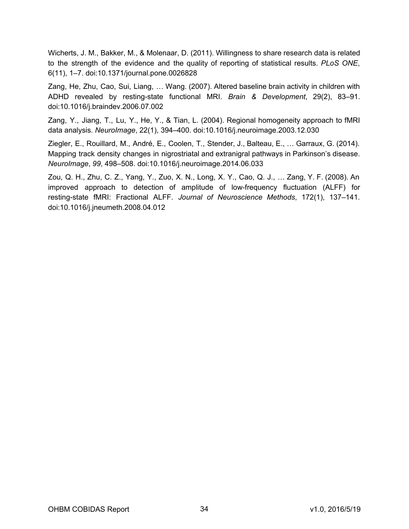Wicherts, J. M., Bakker, M., & Molenaar, D. (2011). Willingness to share research data is related to the strength of the evidence and the quality of reporting of statistical results. *PLoS ONE*, 6(11), 1–7. doi:10.1371/journal.pone.0026828

Zang, He, Zhu, Cao, Sui, Liang, … Wang. (2007). Altered baseline brain activity in children with ADHD revealed by resting-state functional MRI. *Brain & Development*  , 29(2), 83–91. doi:10.1016/j.braindev.2006.07.002

Zang, Y., Jiang, T., Lu, Y., He, Y., & Tian, L. (2004). Regional homogeneity approach to fMRI data analysis. *NeuroImage*, 22(1), 394–400. doi:10.1016/j.neuroimage.2003.12.030

Ziegler, E., Rouillard, M., André, E., Coolen, T., Stender, J., Balteau, E., … Garraux, G. (2014). Mapping track density changes in nigrostriatal and extranigral pathways in Parkinson's disease. *NeuroImage*, *99*, 498–508. doi:10.1016/j.neuroimage.2014.06.033

Zou, Q. H., Zhu, C. Z., Yang, Y., Zuo, X. N., Long, X. Y., Cao, Q. J., … Zang, Y. F. (2008). An improved approach to detection of amplitude of low-frequency fluctuation (ALFF) for resting-state fMRI: Fractional ALFF. Journal of Neuroscience Methods, 172(1), 137-141. doi:10.1016/j.jneumeth.2008.04.012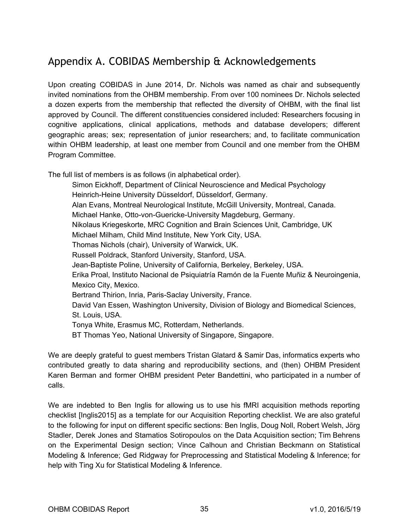# <span id="page-34-0"></span>Appendix A. COBIDAS Membership & Acknowledgements

Upon creating COBIDAS in June 2014, Dr. Nichols was named as chair and subsequently invited nominations from the OHBM membership. From over 100 nominees Dr. Nichols selected a dozen experts from the membership that reflected the diversity of OHBM, with the final list approved by Council. The different constituencies considered included: Researchers focusing in cognitive applications, clinical applications, methods and database developers; different geographic areas; sex; representation of junior researchers; and, to facilitate communication within OHBM leadership, at least one member from Council and one member from the OHBM Program Committee.

The full list of members is as follows (in alphabetical order).

Simon Eickhoff, Department of Clinical Neuroscience and Medical Psychology Heinrich-Heine University Düsseldorf, Düsseldorf, Germany. Alan Evans, Montreal Neurological Institute, McGill University, Montreal, Canada. Michael Hanke, Otto-von-Guericke-University Magdeburg, Germany. Nikolaus Kriegeskorte, MRC Cognition and Brain Sciences Unit, Cambridge, UK Michael Milham, Child Mind Institute, New York City, USA. Thomas Nichols (chair), University of Warwick, UK. Russell Poldrack, Stanford University, Stanford, USA. Jean-Baptiste Poline, University of California, Berkeley, Berkeley, USA. Erika Proal, Instituto Nacional de Psiquiatría Ramón de la Fuente Muñiz & Neuroingenia, Mexico City, Mexico. Bertrand Thirion, Inria, Paris-Saclay University, France. David Van Essen, Washington University, Division of Biology and Biomedical Sciences, St. Louis, USA. Tonya White, Erasmus MC, Rotterdam, Netherlands. BT Thomas Yeo, National University of Singapore, Singapore.

We are deeply grateful to guest members Tristan Glatard & Samir Das, informatics experts who contributed greatly to data sharing and reproducibility sections, and (then) OHBM President Karen Berman and former OHBM president Peter Bandettini, who participated in a number of calls.

We are indebted to Ben Inglis for allowing us to use his fMRI acquisition methods reporting checklist [Inglis2015] as a template for our Acquisition Reporting checklist. We are also grateful to the following for input on different specific sections: Ben Inglis, Doug Noll, Robert Welsh, Jörg Stadler, Derek Jones and Stamatios Sotiropoulos on the Data Acquisition section; Tim Behrens on the Experimental Design section; Vince Calhoun and Christian Beckmann on Statistical Modeling & Inference; Ged Ridgway for Preprocessing and Statistical Modeling & Inference; for help with Ting Xu for Statistical Modeling & Inference.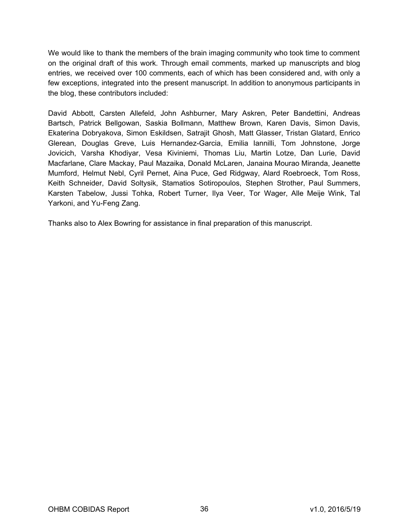We would like to thank the members of the brain imaging community who took time to comment on the original draft of this work. Through email comments, marked up manuscripts and blog entries, we received over 100 comments, each of which has been considered and, with only a few exceptions, integrated into the present manuscript. In addition to anonymous participants in the blog, these contributors included:

David Abbott, Carsten Allefeld, John Ashburner, Mary Askren, Peter Bandettini, Andreas Bartsch, Patrick Bellgowan, Saskia Bollmann, Matthew Brown, Karen Davis, Simon Davis, Ekaterina Dobryakova, Simon Eskildsen, Satrajit Ghosh, Matt Glasser, Tristan Glatard, Enrico Glerean, Douglas Greve, Luis Hernandez-Garcia, Emilia Iannilli, Tom Johnstone, Jorge Jovicich, Varsha Khodiyar, Vesa Kiviniemi, Thomas Liu, Martin Lotze, Dan Lurie, David Macfarlane, Clare Mackay, Paul Mazaika, Donald McLaren, Janaina Mourao Miranda, Jeanette Mumford, Helmut Nebl, Cyril Pernet, Aina Puce, Ged Ridgway, Alard Roebroeck, Tom Ross, Keith Schneider, David Soltysik, Stamatios Sotiropoulos, Stephen Strother, Paul Summers, Karsten Tabelow, Jussi Tohka, Robert Turner, Ilya Veer, Tor Wager, Alle Meije Wink, Tal Yarkoni, and Yu-Feng Zang.

Thanks also to Alex Bowring for assistance in final preparation of this manuscript.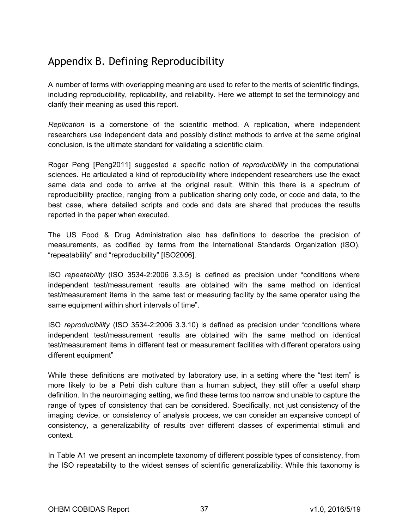# <span id="page-36-0"></span>Appendix B. Defining Reproducibility

A number of terms with overlapping meaning are used to refer to the merits of scientific findings, including reproducibility, replicability, and reliability. Here we attempt to set the terminology and clarify their meaning as used this report.

*Replication* is a cornerstone of the scientific method. A replication, where independent researchers use independent data and possibly distinct methods to arrive at the same original conclusion, is the ultimate standard for validating a scientific claim.

Roger Peng [Peng2011] suggested a specific notion of *reproducibility* in the computational sciences. He articulated a kind of reproducibility where independent researchers use the exact same data and code to arrive at the original result. Within this there is a spectrum of reproducibility practice, ranging from a publication sharing only code, or code and data, to the best case, where detailed scripts and code and data are shared that produces the results reported in the paper when executed.

The US Food & Drug Administration also has definitions to describe the precision of measurements, as codified by terms from the International Standards Organization (ISO), "repeatability" and "reproducibility" [ISO2006].

ISO *repeatability* (ISO 3534-2:2006 3.3.5) is defined as precision under "conditions where independent test/measurement results are obtained with the same method on identical test/measurement items in the same test or measuring facility by the same operator using the same equipment within short intervals of time".

ISO *reproducibility* (ISO 3534-2:2006 3.3.10) is defined as precision under "conditions where independent test/measurement results are obtained with the same method on identical test/measurement items in different test or measurement facilities with different operators using different equipment"

While these definitions are motivated by laboratory use, in a setting where the "test item" is more likely to be a Petri dish culture than a human subject, they still offer a useful sharp definition. In the neuroimaging setting, we find these terms too narrow and unable to capture the range of types of consistency that can be considered. Specifically, not just consistency of the imaging device, or consistency of analysis process, we can consider an expansive concept of consistency, a generalizability of results over different classes of experimental stimuli and context.

In Table A1 we present an incomplete taxonomy of different possible types of consistency, from the ISO repeatability to the widest senses of scientific generalizability. While this taxonomy is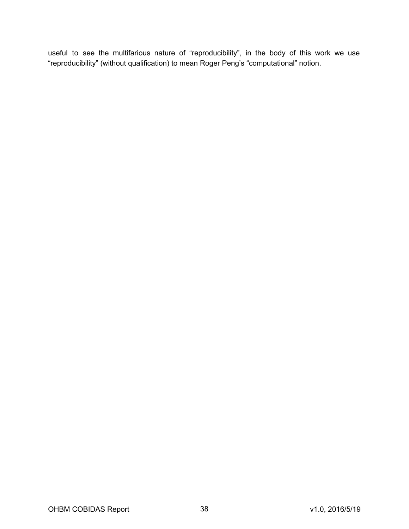useful to see the multifarious nature of "reproducibility", in the body of this work we use "reproducibility" (without qualification) to mean Roger Peng's "computational" notion.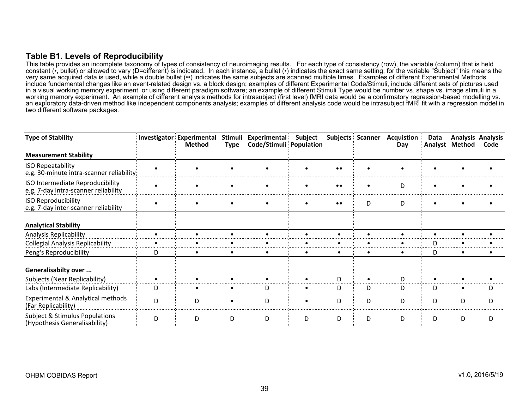#### **Table B1. Levels of Reproducibility**

This table provides an incomplete taxonomy of types of consistency of neuroimaging results. For each type of consistency (row), the variable (column) that is held constant (•, bullet) or allowed to vary (D=different) is indicated. In each instance, a bullet (•) indicates the exact same setting; for the variable "Subject" this means the very same acquired data is used, while a double bullet (••) indicates the same subjects are scanned multiple times. Examples of different Experimental Methods include fundamental changes like an event-related design vs. a block design; examples of different Experimental Code/Stimuli, include different sets of pictures used in a visual working memory experiment, or using different paradigm software; an example of different Stimuli Type would be number vs. shape vs. image stimuli in a working memory experiment. An example of different analysis methods for intrasubject (first level) fMRI data would be a confirmatory regression-based modelling vs. an exploratory data-driven method like independent components analysis; examples of different analysis code would be intrasubject fMRI fit with a regression model in two different software packages.

<span id="page-38-0"></span>

| <b>Type of Stability</b>                                                 |   | Investigator Experimental<br><b>Method</b> | Stimuli<br><b>Type</b> | <b>Experimental</b><br>Code/Stimuli Population | Subject   |                  | <b>Subjects Scanner</b> | <b>Acquistion</b> :<br>Day | Data<br>Analyst | <b>Analysis Analysis</b><br>Method | Code |
|--------------------------------------------------------------------------|---|--------------------------------------------|------------------------|------------------------------------------------|-----------|------------------|-------------------------|----------------------------|-----------------|------------------------------------|------|
| <b>Measurement Stability</b>                                             |   |                                            |                        |                                                |           |                  |                         |                            |                 |                                    |      |
| <b>ISO Repeatability</b><br>e.g. 30-minute intra-scanner reliability     |   |                                            |                        |                                                |           | $\bullet\bullet$ |                         |                            |                 |                                    |      |
| ISO Intermediate Reproducibility<br>e.g. 7-day intra-scanner reliability |   |                                            | $\bullet$              |                                                |           | $\bullet\bullet$ | $\bullet$               | D                          |                 |                                    |      |
| <b>ISO Reproducibility</b><br>e.g. 7-day inter-scanner reliability       |   |                                            |                        |                                                |           | $\bullet\bullet$ | D                       | D                          |                 |                                    |      |
| <b>Analytical Stability</b>                                              |   |                                            |                        |                                                |           |                  |                         |                            |                 |                                    |      |
| Analysis Replicability                                                   |   |                                            |                        |                                                |           |                  |                         |                            |                 |                                    |      |
| <b>Collegial Analysis Replicability</b>                                  |   |                                            |                        |                                                |           |                  |                         |                            |                 |                                    |      |
| Peng's Reproducibility                                                   | D | $\bullet$                                  | ٠                      |                                                | $\bullet$ |                  | $\bullet$               |                            | D               | ٠                                  |      |
| Generalisabilty over                                                     |   |                                            |                        |                                                |           |                  |                         |                            |                 |                                    |      |
| Subjects (Near Replicability)                                            |   |                                            |                        |                                                |           | D.               |                         |                            |                 |                                    |      |
| Labs (Intermediate Replicability)                                        | D |                                            |                        | D                                              |           | D                | D                       | D                          | D               |                                    | I)   |
| Experimental & Analytical methods<br>(Far Replicability)                 | D | D                                          |                        | D                                              |           | D.               | D                       | D                          | D               | D                                  | D    |
| Subject & Stimulus Populations<br>(Hypothesis Generalisability)          | D | D                                          | D                      | D                                              | D         | D                | D                       | D                          | D               | D                                  | D    |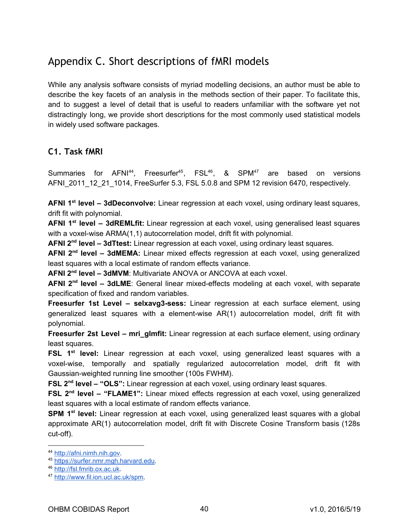# <span id="page-39-0"></span>Appendix C. Short descriptions of fMRI models

While any analysis software consists of myriad modelling decisions, an author must be able to describe the key facets of an analysis in the methods section of their paper. To facilitate this, and to suggest a level of detail that is useful to readers unfamiliar with the software yet not distractingly long, we provide short descriptions for the most commonly used statistical models in widely used software packages.

# <span id="page-39-1"></span>**C1. Task fMRI**

Summaries for AFNI<sup>44</sup>, Freesurfer<sup>45</sup>, FSL<sup>46</sup>, & SPM<sup>47</sup> are based on versions AFNI\_2011\_12\_21\_1014, FreeSurfer 5.3, FSL 5.0.8 and SPM 12 revision 6470, respectively.

**AFNI 1 stlevel – 3dDeconvolve:** Linear regression at each voxel, using ordinary least squares, drift fit with polynomial.

**AFNI 1 stlevel – 3dREMLfit:** Linear regression at each voxel, using generalised least squares with a voxel-wise ARMA(1,1) autocorrelation model, drift fit with polynomial.

**AFNI 2nd level – 3dTtest:** Linear regression at each voxel, using ordinary least squares.

AFNI 2<sup>nd</sup> level - 3dMEMA: Linear mixed effects regression at each voxel, using generalized least squares with a local estimate of random effects variance.

**AFNI 2nd level – 3dMVM**: Multivariate ANOVA or ANCOVA at each voxel.

AFNI 2<sup>nd</sup> level - 3dLME: General linear mixed-effects modeling at each voxel, with separate specification of fixed and random variables.

**Freesurfer 1st Level – selxavg3-sess:**  Linear regression at each surface element, using generalized least squares with a element-wise AR(1) autocorrelation model, drift fit with polynomial.

Freesurfer 2st Level - mri\_glmfit: Linear regression at each surface element, using ordinary least squares.

FSL 1<sup>st</sup> level: Linear regression at each voxel, using generalized least squares with a voxel-wise, temporally and spatially regularized autocorrelation model, drift fit with Gaussian-weighted running line smoother (100s FWHM).

**FSL 2nd level – "OLS":** Linear regression at each voxel, using ordinary least squares.

FSL 2<sup>nd</sup> level - "FLAME1": Linear mixed effects regression at each voxel, using generalized least squares with a local estimate of random effects variance.

**SPM 1<sup>st</sup> level:** Linear regression at each voxel, using generalized least squares with a global approximate AR(1) autocorrelation model, drift fit with Discrete Cosine Transform basis (128s cut-off).

<sup>44</sup> [http://afni.nimh.nih.gov.](http://afni.nimh.nih.gov/)

<sup>45</sup> [https://surfer.nmr.mgh.harvard.edu.](https://surfer.nmr.mgh.harvard.edu/)

<sup>46</sup> [http://fsl.fmrib.ox.ac.uk.](http://fsl.fmrib.ox.ac.uk/)

<sup>47</sup> [http://www.fil.ion.ucl.ac.uk/spm.](http://www.fil.ion.ucl.ac.uk/spm)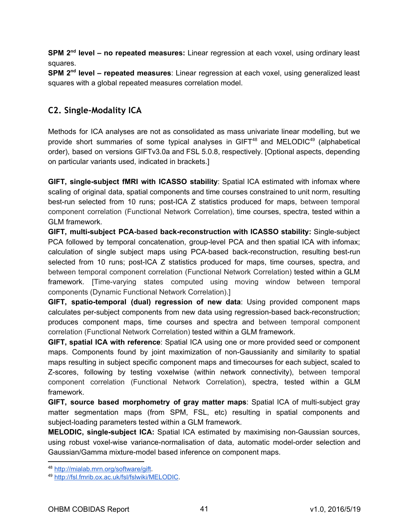**SPM 2<sup>nd</sup> level – no repeated measures:** Linear regression at each voxel, using ordinary least squares.

**SPM 2<sup>nd</sup> level – repeated measures**: Linear regression at each voxel, using generalized least squares with a global repeated measures correlation model.

### <span id="page-40-0"></span>**C2. Single‐Modality ICA**

Methods for ICA analyses are not as consolidated as mass univariate linear modelling, but we provide short summaries of some typical analyses in  $GIFT^{48}$  and  $MELODIC^{49}$  (alphabetical order), based on versions GIFTv3.0a and FSL 5.0.8, respectively. [Optional aspects, depending on particular variants used, indicated in brackets.]

**GIFT, single-subject fMRI with ICASSO stability:** Spatial ICA estimated with infomax where scaling of original data, spatial components and time courses constrained to unit norm, resulting best-run selected from 10 runs; post-ICA Z statistics produced for maps, between temporal component correlation (Functional Network Correlation), time courses, spectra, tested within a GLM framework.

**GIFT, multi-subject PCA-based back-reconstruction with ICASSO stability:** Single-subject PCA followed by temporal concatenation, group-level PCA and then spatial ICA with infomax; calculation of single subject maps using PCA-based back-reconstruction, resulting best-run selected from 10 runs; post-ICA Z statistics produced for maps, time courses, spectra, and between temporal component correlation (Functional Network Correlation) tested within a GLM framework. [Time-varying states computed using moving window between temporal components (Dynamic Functional Network Correlation).]

**GIFT, spatio-temporal (dual) regression of new data: Using provided component maps** calculates per-subject components from new data using regression-based back-reconstruction; produces component maps, time courses and spectra and between temporal component correlation (Functional Network Correlation) tested within a GLM framework.

**GIFT, spatial ICA with reference**  : Spatial ICA using one or more provided seed or component maps. Components found by joint maximization of non-Gaussianity and similarity to spatial maps resulting in subject specific component maps and timecourses for each subject, scaled to Z-scores, following by testing voxelwise (within network connectivity), between temporal component correlation (Functional Network Correlation), spectra, tested within a GLM framework.

**GIFT, source based morphometry of gray matter maps: Spatial ICA of multi-subject gray** matter segmentation maps (from SPM, FSL, etc) resulting in spatial components and subject-loading parameters tested within a GLM framework.

**MELODIC, single-subject ICA:** Spatial ICA estimated by maximising non-Gaussian sources, using robust voxel-wise variance-normalisation of data, automatic model-order selection and Gaussian/Gamma mixture-model based inference on component maps.

<sup>48</sup> [http://mialab.mrn.org/software/gift.](http://mialab.mrn.org/software/gift)

<sup>49</sup> <http://fsl.fmrib.ox.ac.uk/fsl/fslwiki/MELODIC>.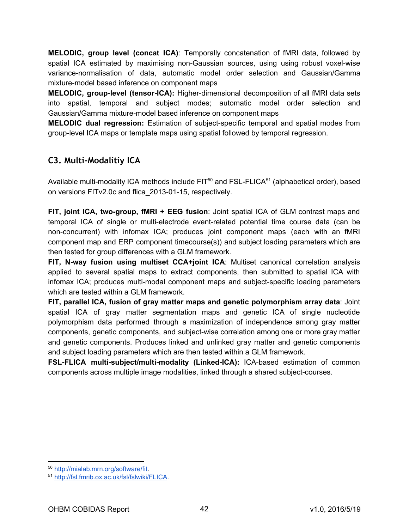**MELODIC, group level (concat ICA):** Temporally concatenation of fMRI data, followed by spatial ICA estimated by maximising non-Gaussian sources, using using robust voxel-wise variance-normalisation of data, automatic model order selection and Gaussian/Gamma mixture-model based inference on component maps

**MELODIC, group-level (tensor-ICA):** Higher-dimensional decomposition of all fMRI data sets into spatial, temporal and subject modes; automatic model order selection and Gaussian/Gamma mixture-model based inference on component maps

**MELODIC dual regression:** Estimation of subject-specific temporal and spatial modes from group-level ICA maps or template maps using spatial followed by temporal regression.

### <span id="page-41-0"></span>**C3. Multi‐Modalitiy ICA**

Available multi-modality ICA methods include  $\mathsf{FIT}^{50}$  and  $\mathsf{FSL}\text{-}\mathsf{FLICA}^{51}$  (alphabetical order), based on versions FITv2.0c and flica 2013-01-15, respectively.

**FIT, joint ICA, two-group, fMRI + EEG fusion:** Joint spatial ICA of GLM contrast maps and temporal ICA of single or multi-electrode event-related potential time course data (can be non-concurrent) with infomax ICA; produces joint component maps (each with an fMRI component map and ERP component timecourse(s)) and subject loading parameters which are then tested for group differences with a GLM framework.

**FIT, N-way fusion using multiset CCA+joint ICA:** Multiset canonical correlation analysis applied to several spatial maps to extract components, then submitted to spatial ICA with infomax ICA; produces multi-modal component maps and subject-specific loading parameters which are tested within a GLM framework.

**FIT, parallel ICA, fusion of gray matter maps and genetic polymorphism array data**  : Joint spatial ICA of gray matter segmentation maps and genetic ICA of single nucleotide polymorphism data performed through a maximization of independence among gray matter components, genetic components, and subject-wise correlation among one or more gray matter and genetic components. Produces linked and unlinked gray matter and genetic components and subject loading parameters which are then tested within a GLM framework.

**FSL-FLICA multi-subject/multi-modality (Linked-ICA):** ICA-based estimation of common components across multiple image modalities, linked through a shared subject-courses.

<sup>50</sup> [http://mialab.mrn.org/software/fit.](http://mialab.mrn.org/software/fit)

<sup>51</sup> [http://fsl.fmrib.ox.ac.uk/fsl/fslwiki/FLICA.](http://fsl.fmrib.ox.ac.uk/fsl/fslwiki/FLICA)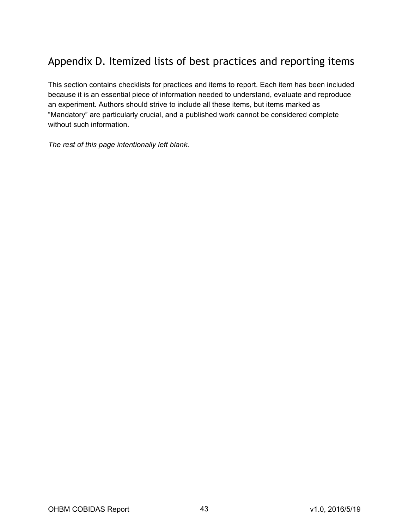# <span id="page-42-0"></span>Appendix D. Itemized lists of best practices and reporting items

This section contains checklists for practices and items to report. Each item has been included because it is an essential piece of information needed to understand, evaluate and reproduce an experiment. Authors should strive to include all these items, but items marked as "Mandatory" are particularly crucial, and a published work cannot be considered complete without such information.

*The rest of this page intentionally left blank.*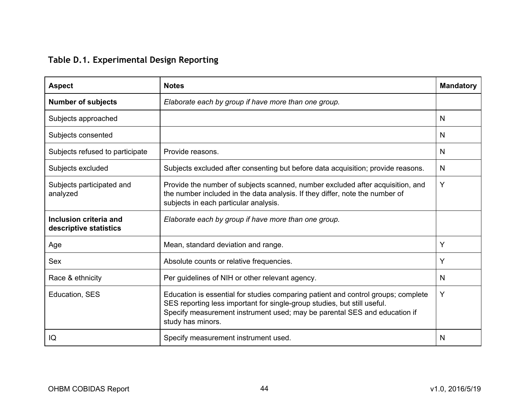# **Table D.1. Experimental Design Reporting**

<span id="page-43-0"></span>

| <b>Aspect</b>                                    | <b>Notes</b>                                                                                                                                                                                                                                                    | <b>Mandatory</b> |
|--------------------------------------------------|-----------------------------------------------------------------------------------------------------------------------------------------------------------------------------------------------------------------------------------------------------------------|------------------|
| <b>Number of subjects</b>                        | Elaborate each by group if have more than one group.                                                                                                                                                                                                            |                  |
| Subjects approached                              |                                                                                                                                                                                                                                                                 | N                |
| Subjects consented                               |                                                                                                                                                                                                                                                                 | N                |
| Subjects refused to participate                  | Provide reasons.                                                                                                                                                                                                                                                | N                |
| Subjects excluded                                | Subjects excluded after consenting but before data acquisition; provide reasons.                                                                                                                                                                                | N                |
| Subjects participated and<br>analyzed            | Provide the number of subjects scanned, number excluded after acquisition, and<br>the number included in the data analysis. If they differ, note the number of<br>subjects in each particular analysis.                                                         | Y                |
| Inclusion criteria and<br>descriptive statistics | Elaborate each by group if have more than one group.                                                                                                                                                                                                            |                  |
| Age                                              | Mean, standard deviation and range.                                                                                                                                                                                                                             | Y                |
| <b>Sex</b>                                       | Absolute counts or relative frequencies.                                                                                                                                                                                                                        | Y                |
| Race & ethnicity                                 | Per guidelines of NIH or other relevant agency.                                                                                                                                                                                                                 | N                |
| Education, SES                                   | Education is essential for studies comparing patient and control groups; complete<br>SES reporting less important for single-group studies, but still useful.<br>Specify measurement instrument used; may be parental SES and education if<br>study has minors. | Y                |
| IQ                                               | Specify measurement instrument used.                                                                                                                                                                                                                            | N                |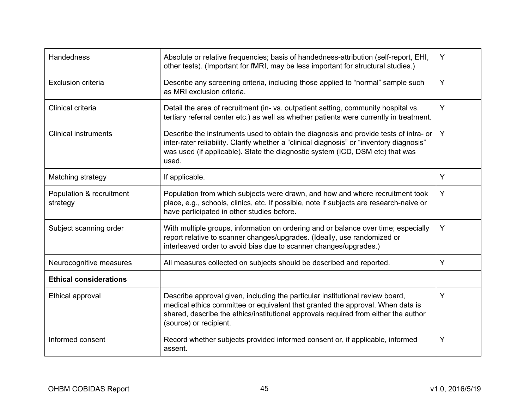| <b>Handedness</b>                    | Absolute or relative frequencies; basis of handedness-attribution (self-report, EHI,<br>other tests). (Important for fMRI, may be less important for structural studies.)                                                                                                        | Y |
|--------------------------------------|----------------------------------------------------------------------------------------------------------------------------------------------------------------------------------------------------------------------------------------------------------------------------------|---|
| <b>Exclusion criteria</b>            | Describe any screening criteria, including those applied to "normal" sample such<br>as MRI exclusion criteria.                                                                                                                                                                   | Y |
| Clinical criteria                    | Detail the area of recruitment (in-vs. outpatient setting, community hospital vs.<br>tertiary referral center etc.) as well as whether patients were currently in treatment.                                                                                                     | Y |
| <b>Clinical instruments</b>          | Describe the instruments used to obtain the diagnosis and provide tests of intra- or<br>inter-rater reliability. Clarify whether a "clinical diagnosis" or "inventory diagnosis"<br>was used (if applicable). State the diagnostic system (ICD, DSM etc) that was<br>used.       | Y |
| Matching strategy                    | If applicable.                                                                                                                                                                                                                                                                   | Y |
| Population & recruitment<br>strategy | Population from which subjects were drawn, and how and where recruitment took<br>place, e.g., schools, clinics, etc. If possible, note if subjects are research-naive or<br>have participated in other studies before.                                                           | Y |
| Subject scanning order               | With multiple groups, information on ordering and or balance over time; especially<br>report relative to scanner changes/upgrades. (Ideally, use randomized or<br>interleaved order to avoid bias due to scanner changes/upgrades.)                                              | Υ |
| Neurocognitive measures              | All measures collected on subjects should be described and reported.                                                                                                                                                                                                             | Y |
| <b>Ethical considerations</b>        |                                                                                                                                                                                                                                                                                  |   |
| Ethical approval                     | Describe approval given, including the particular institutional review board,<br>medical ethics committee or equivalent that granted the approval. When data is<br>shared, describe the ethics/institutional approvals required from either the author<br>(source) or recipient. | Υ |
| Informed consent                     | Record whether subjects provided informed consent or, if applicable, informed<br>assent.                                                                                                                                                                                         | Y |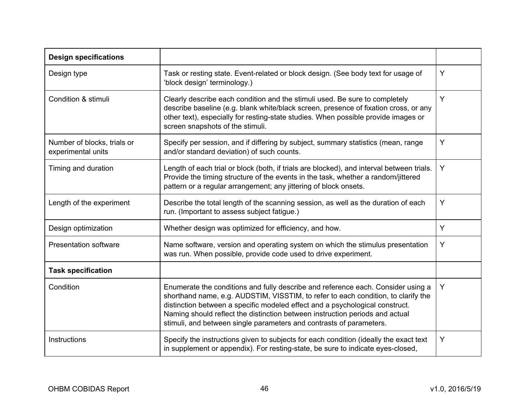| <b>Design specifications</b>                      |                                                                                                                                                                                                                                                                                                                                                                                                              |   |
|---------------------------------------------------|--------------------------------------------------------------------------------------------------------------------------------------------------------------------------------------------------------------------------------------------------------------------------------------------------------------------------------------------------------------------------------------------------------------|---|
| Design type                                       | Task or resting state. Event-related or block design. (See body text for usage of<br>'block design' terminology.)                                                                                                                                                                                                                                                                                            | Y |
| Condition & stimuli                               | Clearly describe each condition and the stimuli used. Be sure to completely<br>describe baseline (e.g. blank white/black screen, presence of fixation cross, or any<br>other text), especially for resting-state studies. When possible provide images or<br>screen snapshots of the stimuli.                                                                                                                | Y |
| Number of blocks, trials or<br>experimental units | Specify per session, and if differing by subject, summary statistics (mean, range<br>and/or standard deviation) of such counts.                                                                                                                                                                                                                                                                              | Y |
| Timing and duration                               | Length of each trial or block (both, if trials are blocked), and interval between trials.<br>Provide the timing structure of the events in the task, whether a random/jittered<br>pattern or a regular arrangement; any jittering of block onsets.                                                                                                                                                           | Y |
| Length of the experiment                          | Describe the total length of the scanning session, as well as the duration of each<br>run. (Important to assess subject fatigue.)                                                                                                                                                                                                                                                                            | Y |
| Design optimization                               | Whether design was optimized for efficiency, and how.                                                                                                                                                                                                                                                                                                                                                        | Y |
| <b>Presentation software</b>                      | Name software, version and operating system on which the stimulus presentation<br>was run. When possible, provide code used to drive experiment.                                                                                                                                                                                                                                                             | Y |
| <b>Task specification</b>                         |                                                                                                                                                                                                                                                                                                                                                                                                              |   |
| Condition                                         | Enumerate the conditions and fully describe and reference each. Consider using a<br>shorthand name, e.g. AUDSTIM, VISSTIM, to refer to each condition, to clarify the<br>distinction between a specific modeled effect and a psychological construct.<br>Naming should reflect the distinction between instruction periods and actual<br>stimuli, and between single parameters and contrasts of parameters. | Y |
| Instructions                                      | Specify the instructions given to subjects for each condition (ideally the exact text<br>in supplement or appendix). For resting-state, be sure to indicate eyes-closed,                                                                                                                                                                                                                                     | Y |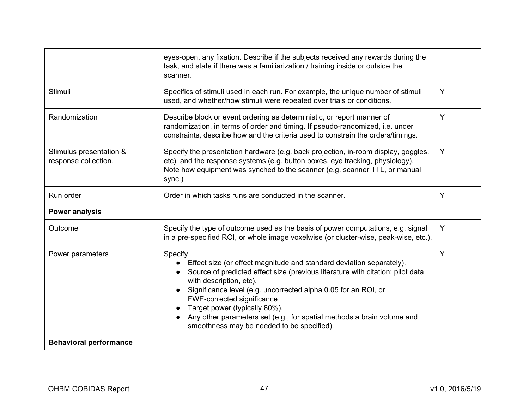|                                                 | eyes-open, any fixation. Describe if the subjects received any rewards during the<br>task, and state if there was a familiarization / training inside or outside the<br>scanner.                                                                                                                                                                                                                                                                      |   |
|-------------------------------------------------|-------------------------------------------------------------------------------------------------------------------------------------------------------------------------------------------------------------------------------------------------------------------------------------------------------------------------------------------------------------------------------------------------------------------------------------------------------|---|
| Stimuli                                         | Specifics of stimuli used in each run. For example, the unique number of stimuli<br>used, and whether/how stimuli were repeated over trials or conditions.                                                                                                                                                                                                                                                                                            | Y |
| Randomization                                   | Describe block or event ordering as deterministic, or report manner of<br>randomization, in terms of order and timing. If pseudo-randomized, i.e. under<br>constraints, describe how and the criteria used to constrain the orders/timings.                                                                                                                                                                                                           | Y |
| Stimulus presentation &<br>response collection. | Specify the presentation hardware (e.g. back projection, in-room display, goggles,<br>etc), and the response systems (e.g. button boxes, eye tracking, physiology).<br>Note how equipment was synched to the scanner (e.g. scanner TTL, or manual<br>sync.)                                                                                                                                                                                           | Y |
| Run order                                       | Order in which tasks runs are conducted in the scanner.                                                                                                                                                                                                                                                                                                                                                                                               | Y |
| <b>Power analysis</b>                           |                                                                                                                                                                                                                                                                                                                                                                                                                                                       |   |
| Outcome                                         | Specify the type of outcome used as the basis of power computations, e.g. signal<br>in a pre-specified ROI, or whole image voxelwise (or cluster-wise, peak-wise, etc.).                                                                                                                                                                                                                                                                              | Y |
| Power parameters                                | Specify<br>Effect size (or effect magnitude and standard deviation separately).<br>Source of predicted effect size (previous literature with citation; pilot data<br>with description, etc).<br>Significance level (e.g. uncorrected alpha 0.05 for an ROI, or<br>FWE-corrected significance<br>Target power (typically 80%).<br>Any other parameters set (e.g., for spatial methods a brain volume and<br>smoothness may be needed to be specified). | Y |
| <b>Behavioral performance</b>                   |                                                                                                                                                                                                                                                                                                                                                                                                                                                       |   |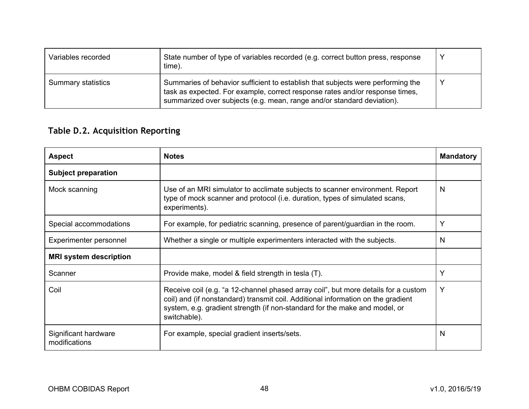| Variables recorded        | State number of type of variables recorded (e.g. correct button press, response<br>time).                                                                                                                                                 |  |
|---------------------------|-------------------------------------------------------------------------------------------------------------------------------------------------------------------------------------------------------------------------------------------|--|
| <b>Summary statistics</b> | Summaries of behavior sufficient to establish that subjects were performing the<br>task as expected. For example, correct response rates and/or response times,<br>summarized over subjects (e.g. mean, range and/or standard deviation). |  |

# <span id="page-47-0"></span>**Table D.2. Acquisition Reporting**

| <b>Aspect</b>                         | <b>Notes</b>                                                                                                                                                                                                                                                         | <b>Mandatory</b> |
|---------------------------------------|----------------------------------------------------------------------------------------------------------------------------------------------------------------------------------------------------------------------------------------------------------------------|------------------|
| <b>Subject preparation</b>            |                                                                                                                                                                                                                                                                      |                  |
| Mock scanning                         | Use of an MRI simulator to acclimate subjects to scanner environment. Report<br>type of mock scanner and protocol (i.e. duration, types of simulated scans,<br>experiments).                                                                                         | N                |
| Special accommodations                | For example, for pediatric scanning, presence of parent/guardian in the room.                                                                                                                                                                                        | Y                |
| Experimenter personnel                | Whether a single or multiple experimenters interacted with the subjects.                                                                                                                                                                                             | N                |
| <b>MRI system description</b>         |                                                                                                                                                                                                                                                                      |                  |
| Scanner                               | Provide make, model & field strength in tesla (T).                                                                                                                                                                                                                   | Y                |
| Coil                                  | Receive coil (e.g. "a 12-channel phased array coil", but more details for a custom<br>coil) and (if nonstandard) transmit coil. Additional information on the gradient<br>system, e.g. gradient strength (if non-standard for the make and model, or<br>switchable). | Y                |
| Significant hardware<br>modifications | For example, special gradient inserts/sets.                                                                                                                                                                                                                          | N                |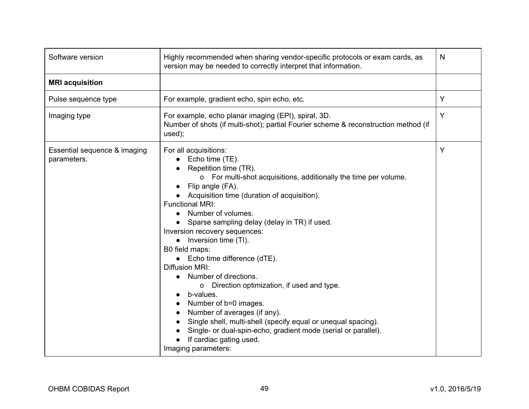| Software version                            | Highly recommended when sharing vendor-specific protocols or exam cards, as<br>version may be needed to correctly interpret that information.                                                                                                                                                                                                                                                                                                                                                                                                                                                                                                                                                                                                                                                  | N |
|---------------------------------------------|------------------------------------------------------------------------------------------------------------------------------------------------------------------------------------------------------------------------------------------------------------------------------------------------------------------------------------------------------------------------------------------------------------------------------------------------------------------------------------------------------------------------------------------------------------------------------------------------------------------------------------------------------------------------------------------------------------------------------------------------------------------------------------------------|---|
| <b>MRI</b> acquisition                      |                                                                                                                                                                                                                                                                                                                                                                                                                                                                                                                                                                                                                                                                                                                                                                                                |   |
| Pulse sequence type                         | For example, gradient echo, spin echo, etc.                                                                                                                                                                                                                                                                                                                                                                                                                                                                                                                                                                                                                                                                                                                                                    | Υ |
| Imaging type                                | For example, echo planar imaging (EPI), spiral, 3D.<br>Number of shots (if multi-shot); partial Fourier scheme & reconstruction method (if<br>used);                                                                                                                                                                                                                                                                                                                                                                                                                                                                                                                                                                                                                                           | Y |
| Essential sequence & imaging<br>parameters. | For all acquisitions:<br>Echo time (TE).<br>Repetition time (TR).<br>o For multi-shot acquisitions, additionally the time per volume.<br>Flip angle (FA).<br>Acquisition time (duration of acquisition).<br><b>Functional MRI:</b><br>Number of volumes.<br>Sparse sampling delay (delay in TR) if used.<br>Inversion recovery sequences:<br>Inversion time (TI).<br>$\bullet$<br>B0 field maps:<br>$\bullet$ Echo time difference (dTE).<br>Diffusion MRI:<br>Number of directions.<br>o Direction optimization, if used and type.<br>b-values.<br>Number of b=0 images.<br>Number of averages (if any).<br>Single shell, multi-shell (specify equal or unequal spacing).<br>Single- or dual-spin-echo, gradient mode (serial or parallel).<br>If cardiac gating used.<br>Imaging parameters: | Y |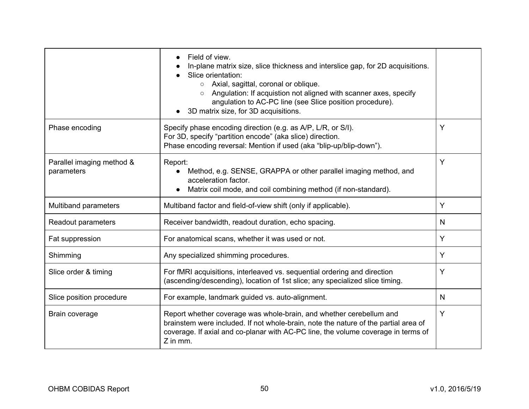|                                         | Field of view.<br>In-plane matrix size, slice thickness and interslice gap, for 2D acquisitions.<br>Slice orientation:<br>Axial, sagittal, coronal or oblique.<br>$\circ$<br>Angulation: If acquistion not aligned with scanner axes, specify<br>angulation to AC-PC line (see Slice position procedure).<br>3D matrix size, for 3D acquisitions. |   |
|-----------------------------------------|---------------------------------------------------------------------------------------------------------------------------------------------------------------------------------------------------------------------------------------------------------------------------------------------------------------------------------------------------|---|
| Phase encoding                          | Specify phase encoding direction (e.g. as A/P, L/R, or S/I).<br>For 3D, specify "partition encode" (aka slice) direction.<br>Phase encoding reversal: Mention if used (aka "blip-up/blip-down").                                                                                                                                                  | Y |
| Parallel imaging method &<br>parameters | Report:<br>Method, e.g. SENSE, GRAPPA or other parallel imaging method, and<br>acceleration factor.<br>Matrix coil mode, and coil combining method (if non-standard).                                                                                                                                                                             | Y |
| Multiband parameters                    | Multiband factor and field-of-view shift (only if applicable).                                                                                                                                                                                                                                                                                    | Y |
| Readout parameters                      | Receiver bandwidth, readout duration, echo spacing.                                                                                                                                                                                                                                                                                               | N |
| Fat suppression                         | For anatomical scans, whether it was used or not.                                                                                                                                                                                                                                                                                                 | Y |
| Shimming                                | Any specialized shimming procedures.                                                                                                                                                                                                                                                                                                              | Y |
| Slice order & timing                    | For fMRI acquisitions, interleaved vs. sequential ordering and direction<br>(ascending/descending), location of 1st slice; any specialized slice timing.                                                                                                                                                                                          | Y |
| Slice position procedure                | For example, landmark guided vs. auto-alignment.                                                                                                                                                                                                                                                                                                  | N |
| Brain coverage                          | Report whether coverage was whole-brain, and whether cerebellum and<br>brainstem were included. If not whole-brain, note the nature of the partial area of<br>coverage. If axial and co-planar with AC-PC line, the volume coverage in terms of<br>$Z$ in mm.                                                                                     | Y |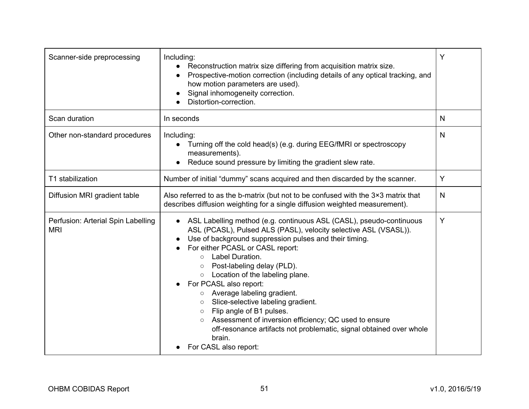| Scanner-side preprocessing                       | Including:<br>Reconstruction matrix size differing from acquisition matrix size.<br>Prospective-motion correction (including details of any optical tracking, and<br>how motion parameters are used).<br>Signal inhomogeneity correction.<br>Distortion-correction.                                                                                                                                                                                                                                                                                                                                                                                  | Y            |
|--------------------------------------------------|------------------------------------------------------------------------------------------------------------------------------------------------------------------------------------------------------------------------------------------------------------------------------------------------------------------------------------------------------------------------------------------------------------------------------------------------------------------------------------------------------------------------------------------------------------------------------------------------------------------------------------------------------|--------------|
| Scan duration                                    | In seconds                                                                                                                                                                                                                                                                                                                                                                                                                                                                                                                                                                                                                                           | N            |
| Other non-standard procedures                    | Including:<br>Turning off the cold head(s) (e.g. during EEG/fMRI or spectroscopy<br>$\bullet$<br>measurements).<br>Reduce sound pressure by limiting the gradient slew rate.                                                                                                                                                                                                                                                                                                                                                                                                                                                                         | $\mathsf{N}$ |
| T1 stabilization                                 | Number of initial "dummy" scans acquired and then discarded by the scanner.                                                                                                                                                                                                                                                                                                                                                                                                                                                                                                                                                                          | Y            |
| Diffusion MRI gradient table                     | Also referred to as the b-matrix (but not to be confused with the 3×3 matrix that<br>describes diffusion weighting for a single diffusion weighted measurement).                                                                                                                                                                                                                                                                                                                                                                                                                                                                                     | $\mathsf{N}$ |
| Perfusion: Arterial Spin Labelling<br><b>MRI</b> | ASL Labelling method (e.g. continuous ASL (CASL), pseudo-continuous<br>ASL (PCASL), Pulsed ALS (PASL), velocity selective ASL (VSASL)).<br>Use of background suppression pulses and their timing.<br>For either PCASL or CASL report:<br>○ Label Duration.<br>Post-labeling delay (PLD).<br>$\circ$<br>Location of the labeling plane.<br>$\circ$<br>For PCASL also report:<br>o Average labeling gradient.<br>o Slice-selective labeling gradient.<br>○ Flip angle of B1 pulses.<br>Assessment of inversion efficiency; QC used to ensure<br>off-resonance artifacts not problematic, signal obtained over whole<br>brain.<br>For CASL also report: | Υ            |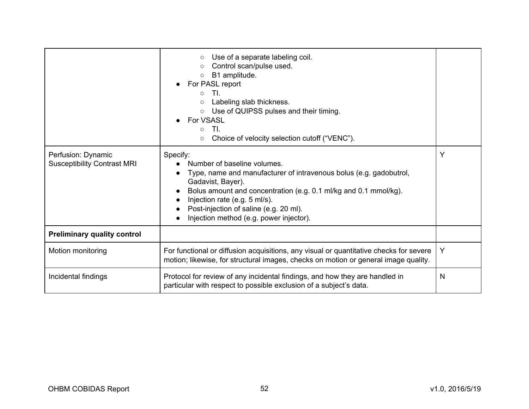|                                                          | Use of a separate labeling coil.<br>$\circ$<br>Control scan/pulse used.<br>$\circ$<br>B1 amplitude.<br>$\circ$<br>For PASL report<br>TI.<br>$\circ$<br>Labeling slab thickness.<br>$\circ$<br>○ Use of QUIPSS pulses and their timing.<br>For VSASL<br>TI.<br>$\circ$<br>Choice of velocity selection cutoff ("VENC").<br>$\circ$ |   |
|----------------------------------------------------------|-----------------------------------------------------------------------------------------------------------------------------------------------------------------------------------------------------------------------------------------------------------------------------------------------------------------------------------|---|
| Perfusion: Dynamic<br><b>Susceptibility Contrast MRI</b> | Specify:<br>Number of baseline volumes.<br>Type, name and manufacturer of intravenous bolus (e.g. gadobutrol,<br>Gadavist, Bayer).<br>Bolus amount and concentration (e.g. 0.1 ml/kg and 0.1 mmol/kg).<br>Injection rate (e.g. 5 ml/s).<br>Post-injection of saline (e.g. 20 ml).<br>Injection method (e.g. power injector).      | Y |
| <b>Preliminary quality control</b>                       |                                                                                                                                                                                                                                                                                                                                   |   |
| Motion monitoring                                        | For functional or diffusion acquisitions, any visual or quantitative checks for severe<br>motion; likewise, for structural images, checks on motion or general image quality.                                                                                                                                                     | Y |
| Incidental findings                                      | Protocol for review of any incidental findings, and how they are handled in<br>particular with respect to possible exclusion of a subject's data.                                                                                                                                                                                 | N |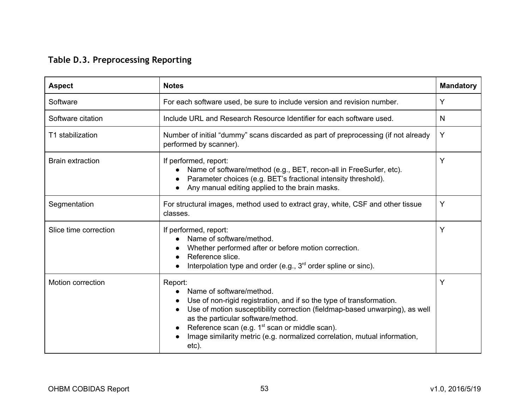# **Table D.3. Preprocessing Reporting**

<span id="page-52-0"></span>

| <b>Aspect</b>            | <b>Notes</b>                                                                                                                                                                                                                                                                                                                                                                         | <b>Mandatory</b> |
|--------------------------|--------------------------------------------------------------------------------------------------------------------------------------------------------------------------------------------------------------------------------------------------------------------------------------------------------------------------------------------------------------------------------------|------------------|
| Software                 | For each software used, be sure to include version and revision number.                                                                                                                                                                                                                                                                                                              | Y                |
| Software citation        | Include URL and Research Resource Identifier for each software used.                                                                                                                                                                                                                                                                                                                 | N                |
| T1 stabilization         | Number of initial "dummy" scans discarded as part of preprocessing (if not already<br>performed by scanner).                                                                                                                                                                                                                                                                         | Y                |
| <b>Brain extraction</b>  | If performed, report:<br>Name of software/method (e.g., BET, recon-all in FreeSurfer, etc).<br>Parameter choices (e.g. BET's fractional intensity threshold).<br>Any manual editing applied to the brain masks.                                                                                                                                                                      | Y                |
| Segmentation             | For structural images, method used to extract gray, white, CSF and other tissue<br>classes.                                                                                                                                                                                                                                                                                          | Y                |
| Slice time correction    | If performed, report:<br>Name of software/method.<br>Whether performed after or before motion correction.<br>Reference slice.<br>Interpolation type and order (e.g., 3 <sup>rd</sup> order spline or sinc).                                                                                                                                                                          | Y                |
| <b>Motion correction</b> | Report:<br>Name of software/method.<br>Use of non-rigid registration, and if so the type of transformation.<br>Use of motion susceptibility correction (fieldmap-based unwarping), as well<br>as the particular software/method.<br>Reference scan (e.g. 1 <sup>st</sup> scan or middle scan).<br>Image similarity metric (e.g. normalized correlation, mutual information,<br>etc). | Y                |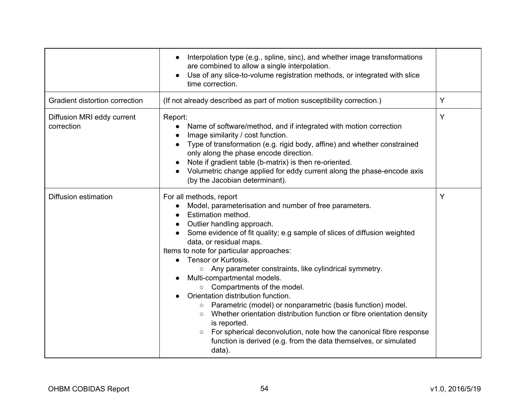|                                          | Interpolation type (e.g., spline, sinc), and whether image transformations<br>$\bullet$<br>are combined to allow a single interpolation.<br>Use of any slice-to-volume registration methods, or integrated with slice<br>time correction.                                                                                                                                                                                                                                                                                                                                                                                                                                                                                                                                                                                         |   |
|------------------------------------------|-----------------------------------------------------------------------------------------------------------------------------------------------------------------------------------------------------------------------------------------------------------------------------------------------------------------------------------------------------------------------------------------------------------------------------------------------------------------------------------------------------------------------------------------------------------------------------------------------------------------------------------------------------------------------------------------------------------------------------------------------------------------------------------------------------------------------------------|---|
| Gradient distortion correction           | (If not already described as part of motion susceptibility correction.)                                                                                                                                                                                                                                                                                                                                                                                                                                                                                                                                                                                                                                                                                                                                                           | Y |
| Diffusion MRI eddy current<br>correction | Report:<br>Name of software/method, and if integrated with motion correction<br>Image similarity / cost function.<br>Type of transformation (e.g. rigid body, affine) and whether constrained<br>only along the phase encode direction.<br>Note if gradient table (b-matrix) is then re-oriented.<br>Volumetric change applied for eddy current along the phase-encode axis<br>(by the Jacobian determinant).                                                                                                                                                                                                                                                                                                                                                                                                                     | Υ |
| <b>Diffusion estimation</b>              | For all methods, report<br>Model, parameterisation and number of free parameters.<br><b>Estimation method.</b><br>Outlier handling approach.<br>Some evidence of fit quality; e.g sample of slices of diffusion weighted<br>data, or residual maps.<br>Items to note for particular approaches:<br>Tensor or Kurtosis.<br>$\circ$ Any parameter constraints, like cylindrical symmetry.<br>Multi-compartmental models.<br>○ Compartments of the model.<br>Orientation distribution function.<br>o Parametric (model) or nonparametric (basis function) model.<br>Whether orientation distribution function or fibre orientation density<br>$\circ$<br>is reported.<br>For spherical deconvolution, note how the canonical fibre response<br>$\circ$<br>function is derived (e.g. from the data themselves, or simulated<br>data). | Y |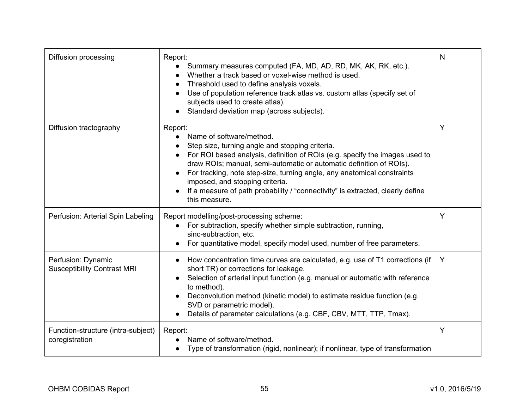| Diffusion processing                                     | Report:<br>Summary measures computed (FA, MD, AD, RD, MK, AK, RK, etc.).<br>Whether a track based or voxel-wise method is used.<br>Threshold used to define analysis voxels.<br>Use of population reference track atlas vs. custom atlas (specify set of<br>subjects used to create atlas).<br>Standard deviation map (across subjects).                                                                                                                      | N |
|----------------------------------------------------------|---------------------------------------------------------------------------------------------------------------------------------------------------------------------------------------------------------------------------------------------------------------------------------------------------------------------------------------------------------------------------------------------------------------------------------------------------------------|---|
| Diffusion tractography                                   | Report:<br>Name of software/method.<br>Step size, turning angle and stopping criteria.<br>For ROI based analysis, definition of ROIs (e.g. specify the images used to<br>draw ROIs; manual, semi-automatic or automatic definition of ROIs).<br>For tracking, note step-size, turning angle, any anatomical constraints<br>imposed, and stopping criteria.<br>If a measure of path probability / "connectivity" is extracted, clearly define<br>this measure. | Y |
| Perfusion: Arterial Spin Labeling                        | Report modelling/post-processing scheme:<br>For subtraction, specify whether simple subtraction, running,<br>sinc-subtraction, etc.<br>For quantitative model, specify model used, number of free parameters.                                                                                                                                                                                                                                                 | Y |
| Perfusion: Dynamic<br><b>Susceptibility Contrast MRI</b> | How concentration time curves are calculated, e.g. use of T1 corrections (if<br>short TR) or corrections for leakage.<br>Selection of arterial input function (e.g. manual or automatic with reference<br>to method).<br>Deconvolution method (kinetic model) to estimate residue function (e.g.<br>SVD or parametric model).<br>Details of parameter calculations (e.g. CBF, CBV, MTT, TTP, Tmax).                                                           | Y |
| Function-structure (intra-subject)<br>coregistration     | Report:<br>Name of software/method.<br>Type of transformation (rigid, nonlinear); if nonlinear, type of transformation                                                                                                                                                                                                                                                                                                                                        | Y |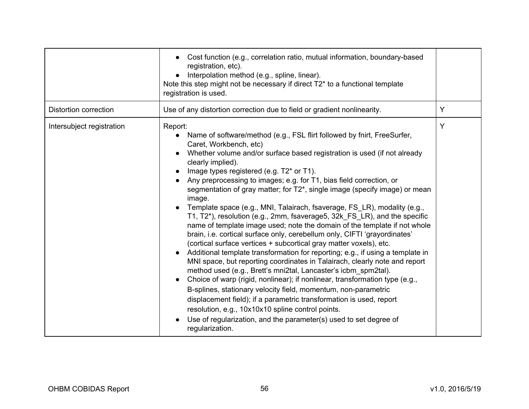|                              | Cost function (e.g., correlation ratio, mutual information, boundary-based<br>registration, etc).<br>Interpolation method (e.g., spline, linear).<br>Note this step might not be necessary if direct T2* to a functional template<br>registration is used.                                                                                                                                                                                                                                                                                                                                                                                                                                                                                                                                                                                                                                                                                                                                                                                                                                                                                                                                                                                                                                                                                                                                                               |   |
|------------------------------|--------------------------------------------------------------------------------------------------------------------------------------------------------------------------------------------------------------------------------------------------------------------------------------------------------------------------------------------------------------------------------------------------------------------------------------------------------------------------------------------------------------------------------------------------------------------------------------------------------------------------------------------------------------------------------------------------------------------------------------------------------------------------------------------------------------------------------------------------------------------------------------------------------------------------------------------------------------------------------------------------------------------------------------------------------------------------------------------------------------------------------------------------------------------------------------------------------------------------------------------------------------------------------------------------------------------------------------------------------------------------------------------------------------------------|---|
| <b>Distortion correction</b> | Use of any distortion correction due to field or gradient nonlinearity.                                                                                                                                                                                                                                                                                                                                                                                                                                                                                                                                                                                                                                                                                                                                                                                                                                                                                                                                                                                                                                                                                                                                                                                                                                                                                                                                                  | Y |
| Intersubject registration    | Report:<br>Name of software/method (e.g., FSL flirt followed by fnirt, FreeSurfer,<br>Caret, Workbench, etc)<br>Whether volume and/or surface based registration is used (if not already<br>clearly implied).<br>Image types registered (e.g. T2* or T1).<br>Any preprocessing to images; e.g. for T1, bias field correction, or<br>segmentation of gray matter; for T2*, single image (specify image) or mean<br>image.<br>Template space (e.g., MNI, Talairach, fsaverage, FS_LR), modality (e.g.,<br>T1, T2*), resolution (e.g., 2mm, fsaverage5, 32k_FS_LR), and the specific<br>name of template image used; note the domain of the template if not whole<br>brain, i.e. cortical surface only, cerebellum only, CIFTI 'grayordinates'<br>(cortical surface vertices + subcortical gray matter voxels), etc.<br>Additional template transformation for reporting; e.g., if using a template in<br>MNI space, but reporting coordinates in Talairach, clearly note and report<br>method used (e.g., Brett's mni2tal, Lancaster's icbm spm2tal).<br>Choice of warp (rigid, nonlinear); if nonlinear, transformation type (e.g.,<br>B-splines, stationary velocity field, momentum, non-parametric<br>displacement field); if a parametric transformation is used, report<br>resolution, e.g., 10x10x10 spline control points.<br>Use of regularization, and the parameter(s) used to set degree of<br>regularization. | Y |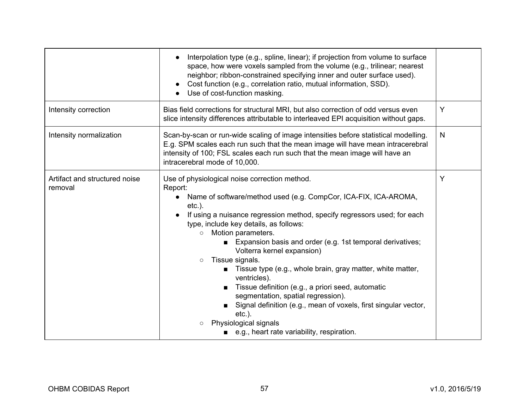|                                          | Interpolation type (e.g., spline, linear); if projection from volume to surface<br>space, how were voxels sampled from the volume (e.g., trilinear; nearest<br>neighbor; ribbon-constrained specifying inner and outer surface used).<br>Cost function (e.g., correlation ratio, mutual information, SSD).<br>$\bullet$<br>Use of cost-function masking.                                                                                                                                                                                                                                                                                                                                                                                                                                |   |
|------------------------------------------|-----------------------------------------------------------------------------------------------------------------------------------------------------------------------------------------------------------------------------------------------------------------------------------------------------------------------------------------------------------------------------------------------------------------------------------------------------------------------------------------------------------------------------------------------------------------------------------------------------------------------------------------------------------------------------------------------------------------------------------------------------------------------------------------|---|
| Intensity correction                     | Bias field corrections for structural MRI, but also correction of odd versus even<br>slice intensity differences attributable to interleaved EPI acquisition without gaps.                                                                                                                                                                                                                                                                                                                                                                                                                                                                                                                                                                                                              | Y |
| Intensity normalization                  | Scan-by-scan or run-wide scaling of image intensities before statistical modelling.<br>E.g. SPM scales each run such that the mean image will have mean intracerebral<br>intensity of 100; FSL scales each run such that the mean image will have an<br>intracerebral mode of 10,000.                                                                                                                                                                                                                                                                                                                                                                                                                                                                                                   | N |
| Artifact and structured noise<br>removal | Use of physiological noise correction method.<br>Report:<br>Name of software/method used (e.g. CompCor, ICA-FIX, ICA-AROMA,<br>$etc.$ ).<br>If using a nuisance regression method, specify regressors used; for each<br>type, include key details, as follows:<br>Motion parameters.<br>$\circ$<br>Expansion basis and order (e.g. 1st temporal derivatives;<br>$\blacksquare$<br>Volterra kernel expansion)<br>Tissue signals.<br>$\circ$<br>Tissue type (e.g., whole brain, gray matter, white matter,<br>ventricles).<br>Tissue definition (e.g., a priori seed, automatic<br>segmentation, spatial regression).<br>Signal definition (e.g., mean of voxels, first singular vector,<br>$etc.$ ).<br>Physiological signals<br>$\circ$<br>■ e.g., heart rate variability, respiration. | Υ |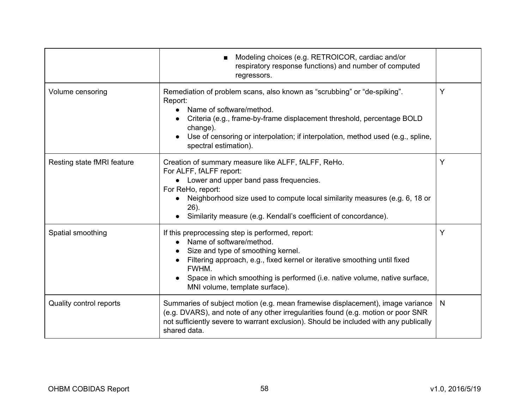|                            | Modeling choices (e.g. RETROICOR, cardiac and/or<br>respiratory response functions) and number of computed<br>regressors.                                                                                                                                                                                                  |              |
|----------------------------|----------------------------------------------------------------------------------------------------------------------------------------------------------------------------------------------------------------------------------------------------------------------------------------------------------------------------|--------------|
| Volume censoring           | Remediation of problem scans, also known as "scrubbing" or "de-spiking".<br>Report:<br>Name of software/method.<br>Criteria (e.g., frame-by-frame displacement threshold, percentage BOLD<br>change).<br>Use of censoring or interpolation; if interpolation, method used (e.g., spline,<br>spectral estimation).          | Y            |
| Resting state fMRI feature | Creation of summary measure like ALFF, fALFF, ReHo.<br>For ALFF, fALFF report:<br>Lower and upper band pass frequencies.<br>For ReHo, report:<br>Neighborhood size used to compute local similarity measures (e.g. 6, 18 or<br>$26$ ).<br>Similarity measure (e.g. Kendall's coefficient of concordance).                  | Y            |
| Spatial smoothing          | If this preprocessing step is performed, report:<br>• Name of software/method.<br>Size and type of smoothing kernel.<br>Filtering approach, e.g., fixed kernel or iterative smoothing until fixed<br>FWHM.<br>Space in which smoothing is performed (i.e. native volume, native surface,<br>MNI volume, template surface). | Y            |
| Quality control reports    | Summaries of subject motion (e.g. mean framewise displacement), image variance<br>(e.g. DVARS), and note of any other irregularities found (e.g. motion or poor SNR<br>not sufficiently severe to warrant exclusion). Should be included with any publically<br>shared data.                                               | <sub>N</sub> |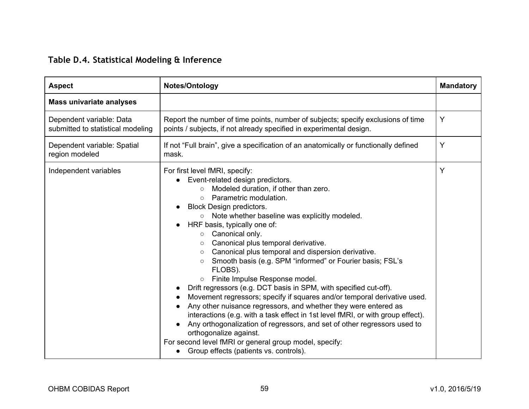# **Table D.4. Statistical Modeling & Inference**

<span id="page-58-0"></span>

| <b>Aspect</b>                                                 | Notes/Ontology                                                                                                                                                                                                                                                                                                                                                                                                                                                                                                                                                                                                                                                                                                                                                                                                                                                                                                                                                                                                                                                    | <b>Mandatory</b> |
|---------------------------------------------------------------|-------------------------------------------------------------------------------------------------------------------------------------------------------------------------------------------------------------------------------------------------------------------------------------------------------------------------------------------------------------------------------------------------------------------------------------------------------------------------------------------------------------------------------------------------------------------------------------------------------------------------------------------------------------------------------------------------------------------------------------------------------------------------------------------------------------------------------------------------------------------------------------------------------------------------------------------------------------------------------------------------------------------------------------------------------------------|------------------|
| <b>Mass univariate analyses</b>                               |                                                                                                                                                                                                                                                                                                                                                                                                                                                                                                                                                                                                                                                                                                                                                                                                                                                                                                                                                                                                                                                                   |                  |
| Dependent variable: Data<br>submitted to statistical modeling | Report the number of time points, number of subjects; specify exclusions of time<br>points / subjects, if not already specified in experimental design.                                                                                                                                                                                                                                                                                                                                                                                                                                                                                                                                                                                                                                                                                                                                                                                                                                                                                                           | Y                |
| Dependent variable: Spatial<br>region modeled                 | If not "Full brain", give a specification of an anatomically or functionally defined<br>mask.                                                                                                                                                                                                                                                                                                                                                                                                                                                                                                                                                                                                                                                                                                                                                                                                                                                                                                                                                                     | Y                |
| Independent variables                                         | For first level fMRI, specify:<br>Event-related design predictors.<br>Modeled duration, if other than zero.<br>$\circ$<br>Parametric modulation.<br>$\circ$<br><b>Block Design predictors.</b><br>○ Note whether baseline was explicitly modeled.<br>HRF basis, typically one of:<br>○ Canonical only.<br>Canonical plus temporal derivative.<br>$\circ$<br>Canonical plus temporal and dispersion derivative.<br>$\circ$<br>Smooth basis (e.g. SPM "informed" or Fourier basis; FSL's<br>$\circ$<br>FLOBS).<br>o Finite Impulse Response model.<br>Drift regressors (e.g. DCT basis in SPM, with specified cut-off).<br>Movement regressors; specify if squares and/or temporal derivative used.<br>Any other nuisance regressors, and whether they were entered as<br>interactions (e.g. with a task effect in 1st level fMRI, or with group effect).<br>Any orthogonalization of regressors, and set of other regressors used to<br>orthogonalize against.<br>For second level fMRI or general group model, specify:<br>Group effects (patients vs. controls). | Y                |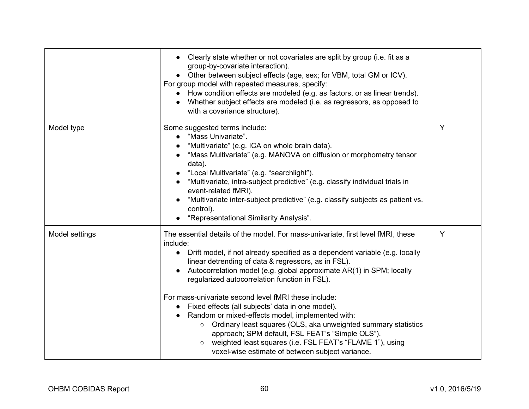|                | Clearly state whether or not covariates are split by group (i.e. fit as a<br>group-by-covariate interaction).<br>Other between subject effects (age, sex; for VBM, total GM or ICV).<br>For group model with repeated measures, specify:<br>How condition effects are modeled (e.g. as factors, or as linear trends).<br>Whether subject effects are modeled (i.e. as regressors, as opposed to<br>with a covariance structure).                                                                                                                                                                                                                                                                                                                                                         |   |
|----------------|------------------------------------------------------------------------------------------------------------------------------------------------------------------------------------------------------------------------------------------------------------------------------------------------------------------------------------------------------------------------------------------------------------------------------------------------------------------------------------------------------------------------------------------------------------------------------------------------------------------------------------------------------------------------------------------------------------------------------------------------------------------------------------------|---|
| Model type     | Some suggested terms include:<br>"Mass Univariate".<br>"Multivariate" (e.g. ICA on whole brain data).<br>"Mass Multivariate" (e.g. MANOVA on diffusion or morphometry tensor<br>data).<br>"Local Multivariate" (e.g. "searchlight").<br>"Multivariate, intra-subject predictive" (e.g. classify individual trials in<br>event-related fMRI).<br>"Multivariate inter-subject predictive" (e.g. classify subjects as patient vs.<br>control).<br>"Representational Similarity Analysis".                                                                                                                                                                                                                                                                                                   | Y |
| Model settings | The essential details of the model. For mass-univariate, first level fMRI, these<br>include:<br>Drift model, if not already specified as a dependent variable (e.g. locally<br>linear detrending of data & regressors, as in FSL).<br>Autocorrelation model (e.g. global approximate AR(1) in SPM; locally<br>regularized autocorrelation function in FSL).<br>For mass-univariate second level fMRI these include:<br>Fixed effects (all subjects' data in one model).<br>Random or mixed-effects model, implemented with:<br>Ordinary least squares (OLS, aka unweighted summary statistics<br>$\circ$<br>approach; SPM default, FSL FEAT's "Simple OLS").<br>weighted least squares (i.e. FSL FEAT's "FLAME 1"), using<br>$\circ$<br>voxel-wise estimate of between subject variance. | Y |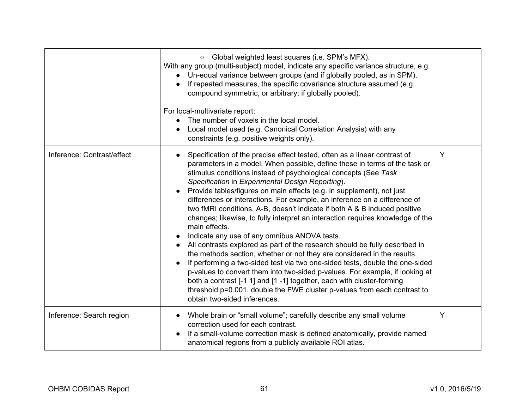|                            | Global weighted least squares (i.e. SPM's MFX).<br>$\circ$<br>With any group (multi-subject) model, indicate any specific variance structure, e.g.<br>Un-equal variance between groups (and if globally pooled, as in SPM).<br>If repeated measures, the specific covariance structure assumed (e.g.<br>compound symmetric, or arbitrary; if globally pooled).<br>For local-multivariate report:<br>The number of voxels in the local model.<br>Local model used (e.g. Canonical Correlation Analysis) with any<br>constraints (e.g. positive weights only).                                                                                                                                                                                                                                                                                                                                                                                                                                                                                                                                                                                                                                     |   |
|----------------------------|--------------------------------------------------------------------------------------------------------------------------------------------------------------------------------------------------------------------------------------------------------------------------------------------------------------------------------------------------------------------------------------------------------------------------------------------------------------------------------------------------------------------------------------------------------------------------------------------------------------------------------------------------------------------------------------------------------------------------------------------------------------------------------------------------------------------------------------------------------------------------------------------------------------------------------------------------------------------------------------------------------------------------------------------------------------------------------------------------------------------------------------------------------------------------------------------------|---|
| Inference: Contrast/effect | Specification of the precise effect tested, often as a linear contrast of<br>parameters in a model. When possible, define these in terms of the task or<br>stimulus conditions instead of psychological concepts (See Task<br>Specification in Experimental Design Reporting).<br>Provide tables/figures on main effects (e.g. in supplement), not just<br>$\bullet$<br>differences or interactions. For example, an inference on a difference of<br>two fMRI conditions, A-B, doesn't indicate if both A & B induced positive<br>changes; likewise, to fully interpret an interaction requires knowledge of the<br>main effects.<br>Indicate any use of any omnibus ANOVA tests.<br>All contrasts explored as part of the research should be fully described in<br>the methods section, whether or not they are considered in the results.<br>If performing a two-sided test via two one-sided tests, double the one-sided<br>p-values to convert them into two-sided p-values. For example, if looking at<br>both a contrast [-1 1] and [1 -1] together, each with cluster-forming<br>threshold p=0.001, double the FWE cluster p-values from each contrast to<br>obtain two-sided inferences. | Y |
| Inference: Search region   | Whole brain or "small volume"; carefully describe any small volume<br>correction used for each contrast.<br>If a small-volume correction mask is defined anatomically, provide named<br>anatomical regions from a publicly available ROI atlas.                                                                                                                                                                                                                                                                                                                                                                                                                                                                                                                                                                                                                                                                                                                                                                                                                                                                                                                                                  | Y |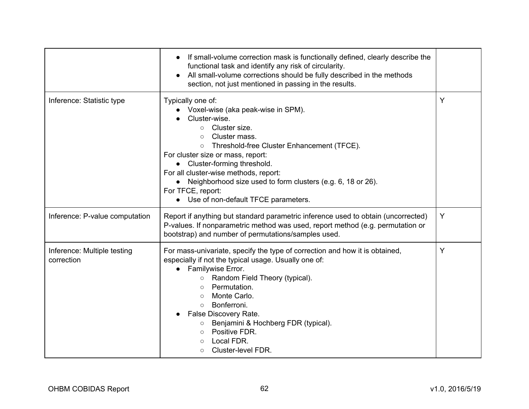|                                           | If small-volume correction mask is functionally defined, clearly describe the<br>functional task and identify any risk of circularity.<br>All small-volume corrections should be fully described in the methods<br>section, not just mentioned in passing in the results.                                                                                                                                                                          |   |
|-------------------------------------------|----------------------------------------------------------------------------------------------------------------------------------------------------------------------------------------------------------------------------------------------------------------------------------------------------------------------------------------------------------------------------------------------------------------------------------------------------|---|
| Inference: Statistic type                 | Typically one of:<br>Voxel-wise (aka peak-wise in SPM).<br>Cluster-wise.<br>Cluster size.<br>$\circ$<br>Cluster mass.<br>$\circ$<br>o Threshold-free Cluster Enhancement (TFCE).<br>For cluster size or mass, report:<br>• Cluster-forming threshold.<br>For all cluster-wise methods, report:<br>• Neighborhood size used to form clusters (e.g. 6, 18 or 26).<br>For TFCE, report:<br>• Use of non-default TFCE parameters.                      | Y |
| Inference: P-value computation            | Report if anything but standard parametric inference used to obtain (uncorrected)<br>P-values. If nonparametric method was used, report method (e.g. permutation or<br>bootstrap) and number of permutations/samples used.                                                                                                                                                                                                                         | Y |
| Inference: Multiple testing<br>correction | For mass-univariate, specify the type of correction and how it is obtained,<br>especially if not the typical usage. Usually one of:<br>Familywise Error.<br>$\bullet$<br>○ Random Field Theory (typical).<br>Permutation.<br>$\circ$<br>Monte Carlo.<br>$\circ$<br>Bonferroni.<br>$\Omega$<br>False Discovery Rate.<br>Benjamini & Hochberg FDR (typical).<br>$\circ$<br>o Positive FDR.<br>Local FDR.<br>$\circ$<br>Cluster-level FDR.<br>$\circ$ | Y |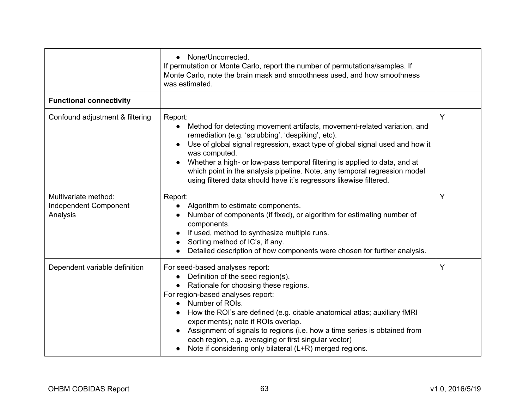|                                                           | None/Uncorrected.<br>If permutation or Monte Carlo, report the number of permutations/samples. If<br>Monte Carlo, note the brain mask and smoothness used, and how smoothness<br>was estimated.                                                                                                                                                                                                                                                                                            |   |
|-----------------------------------------------------------|--------------------------------------------------------------------------------------------------------------------------------------------------------------------------------------------------------------------------------------------------------------------------------------------------------------------------------------------------------------------------------------------------------------------------------------------------------------------------------------------|---|
| <b>Functional connectivity</b>                            |                                                                                                                                                                                                                                                                                                                                                                                                                                                                                            |   |
| Confound adjustment & filtering                           | Report:<br>Method for detecting movement artifacts, movement-related variation, and<br>remediation (e.g. 'scrubbing', 'despiking', etc).<br>Use of global signal regression, exact type of global signal used and how it<br>was computed.<br>Whether a high- or low-pass temporal filtering is applied to data, and at<br>which point in the analysis pipeline. Note, any temporal regression model<br>using filtered data should have it's regressors likewise filtered.                  | Y |
| Multivariate method:<br>Independent Component<br>Analysis | Report:<br>Algorithm to estimate components.<br>Number of components (if fixed), or algorithm for estimating number of<br>components.<br>If used, method to synthesize multiple runs.<br>Sorting method of IC's, if any.<br>Detailed description of how components were chosen for further analysis.                                                                                                                                                                                       | Y |
| Dependent variable definition                             | For seed-based analyses report:<br>Definition of the seed region(s).<br>Rationale for choosing these regions.<br>For region-based analyses report:<br>Number of ROIs.<br>How the ROI's are defined (e.g. citable anatomical atlas; auxiliary fMRI<br>experiments); note if ROIs overlap.<br>Assignment of signals to regions (i.e. how a time series is obtained from<br>each region, e.g. averaging or first singular vector)<br>Note if considering only bilateral (L+R) merged regions. | Y |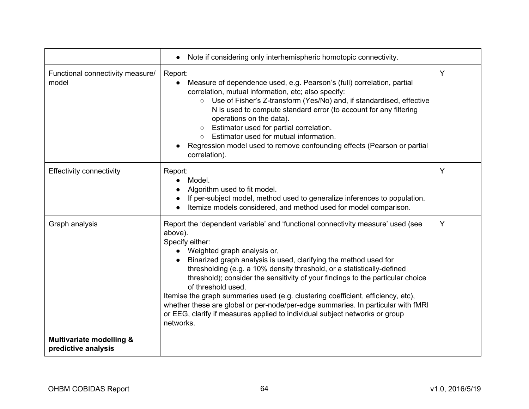|                                                            | Note if considering only interhemispheric homotopic connectivity.                                                                                                                                                                                                                                                                                                                                                                                                                                                                                                                                                                                                      |   |
|------------------------------------------------------------|------------------------------------------------------------------------------------------------------------------------------------------------------------------------------------------------------------------------------------------------------------------------------------------------------------------------------------------------------------------------------------------------------------------------------------------------------------------------------------------------------------------------------------------------------------------------------------------------------------------------------------------------------------------------|---|
| Functional connectivity measure/<br>model                  | Report:<br>Measure of dependence used, e.g. Pearson's (full) correlation, partial<br>correlation, mutual information, etc; also specify:<br>Use of Fisher's Z-transform (Yes/No) and, if standardised, effective<br>$\circ$<br>N is used to compute standard error (to account for any filtering<br>operations on the data).<br>Estimator used for partial correlation.<br>$\circ$<br>○ Estimator used for mutual information.<br>Regression model used to remove confounding effects (Pearson or partial<br>correlation).                                                                                                                                             | Y |
| <b>Effectivity connectivity</b>                            | Report:<br>Model.<br>Algorithm used to fit model.<br>If per-subject model, method used to generalize inferences to population.<br>Itemize models considered, and method used for model comparison.                                                                                                                                                                                                                                                                                                                                                                                                                                                                     | Υ |
| Graph analysis                                             | Report the 'dependent variable' and 'functional connectivity measure' used (see<br>above).<br>Specify either:<br>Weighted graph analysis or,<br>Binarized graph analysis is used, clarifying the method used for<br>thresholding (e.g. a 10% density threshold, or a statistically-defined<br>threshold); consider the sensitivity of your findings to the particular choice<br>of threshold used.<br>Itemise the graph summaries used (e.g. clustering coefficient, efficiency, etc),<br>whether these are global or per-node/per-edge summaries. In particular with fMRI<br>or EEG, clarify if measures applied to individual subject networks or group<br>networks. | Y |
| <b>Multivariate modelling &amp;</b><br>predictive analysis |                                                                                                                                                                                                                                                                                                                                                                                                                                                                                                                                                                                                                                                                        |   |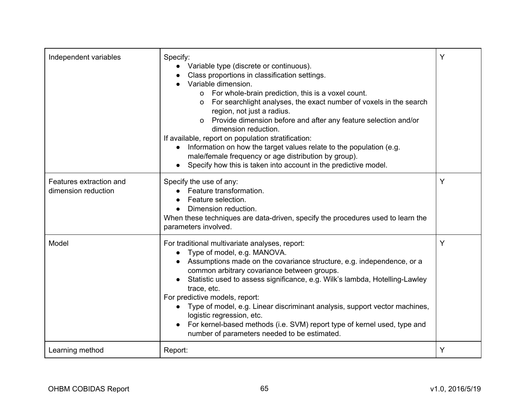| Independent variables                          | Specify:<br>Variable type (discrete or continuous).<br>Class proportions in classification settings.<br>Variable dimension.<br>o For whole-brain prediction, this is a voxel count.<br>o For searchlight analyses, the exact number of voxels in the search<br>region, not just a radius.<br>o Provide dimension before and after any feature selection and/or<br>dimension reduction.<br>If available, report on population stratification:<br>Information on how the target values relate to the population (e.g.<br>male/female frequency or age distribution by group).<br>Specify how this is taken into account in the predictive model. | Ý |
|------------------------------------------------|------------------------------------------------------------------------------------------------------------------------------------------------------------------------------------------------------------------------------------------------------------------------------------------------------------------------------------------------------------------------------------------------------------------------------------------------------------------------------------------------------------------------------------------------------------------------------------------------------------------------------------------------|---|
| Features extraction and<br>dimension reduction | Specify the use of any:<br>Feature transformation.<br>Feature selection.<br>Dimension reduction.<br>When these techniques are data-driven, specify the procedures used to learn the<br>parameters involved.                                                                                                                                                                                                                                                                                                                                                                                                                                    | Y |
| Model                                          | For traditional multivariate analyses, report:<br>Type of model, e.g. MANOVA.<br>Assumptions made on the covariance structure, e.g. independence, or a<br>common arbitrary covariance between groups.<br>Statistic used to assess significance, e.g. Wilk's lambda, Hotelling-Lawley<br>trace, etc.<br>For predictive models, report:<br>Type of model, e.g. Linear discriminant analysis, support vector machines,<br>logistic regression, etc.<br>For kernel-based methods (i.e. SVM) report type of kernel used, type and<br>number of parameters needed to be estimated.                                                                   | Y |
| Learning method                                | Report:                                                                                                                                                                                                                                                                                                                                                                                                                                                                                                                                                                                                                                        | Y |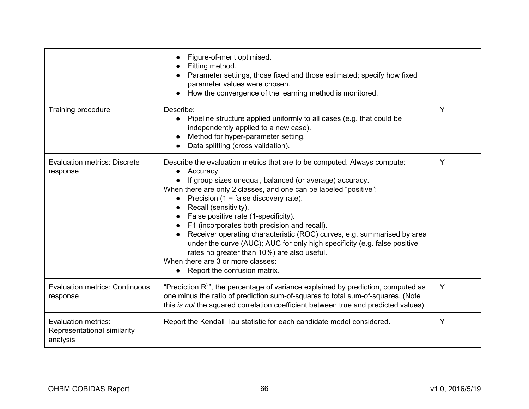|                                                                       | Figure-of-merit optimised.<br>Fitting method.<br>Parameter settings, those fixed and those estimated; specify how fixed<br>parameter values were chosen.<br>How the convergence of the learning method is monitored.                                                                                                                                                                                                                                                                                                                                                                                                                                                                    |   |
|-----------------------------------------------------------------------|-----------------------------------------------------------------------------------------------------------------------------------------------------------------------------------------------------------------------------------------------------------------------------------------------------------------------------------------------------------------------------------------------------------------------------------------------------------------------------------------------------------------------------------------------------------------------------------------------------------------------------------------------------------------------------------------|---|
| Training procedure                                                    | Describe:<br>• Pipeline structure applied uniformly to all cases (e.g. that could be<br>independently applied to a new case).<br>Method for hyper-parameter setting.<br>Data splitting (cross validation).                                                                                                                                                                                                                                                                                                                                                                                                                                                                              | Y |
| <b>Evaluation metrics: Discrete</b><br>response                       | Describe the evaluation metrics that are to be computed. Always compute:<br>Accuracy.<br>If group sizes unequal, balanced (or average) accuracy.<br>When there are only 2 classes, and one can be labeled "positive":<br>Precision $(1 - false$ discovery rate).<br>$\bullet$<br>Recall (sensitivity).<br>False positive rate (1-specificity).<br>F1 (incorporates both precision and recall).<br>Receiver operating characteristic (ROC) curves, e.g. summarised by area<br>under the curve (AUC); AUC for only high specificity (e.g. false positive<br>rates no greater than 10%) are also useful.<br>When there are 3 or more classes:<br>Report the confusion matrix.<br>$\bullet$ | Y |
| <b>Evaluation metrics: Continuous</b><br>response                     | "Prediction $R^{2n}$ , the percentage of variance explained by prediction, computed as<br>one minus the ratio of prediction sum-of-squares to total sum-of-squares. (Note<br>this is not the squared correlation coefficient between true and predicted values).                                                                                                                                                                                                                                                                                                                                                                                                                        | Y |
| <b>Evaluation metrics:</b><br>Representational similarity<br>analysis | Report the Kendall Tau statistic for each candidate model considered.                                                                                                                                                                                                                                                                                                                                                                                                                                                                                                                                                                                                                   | Y |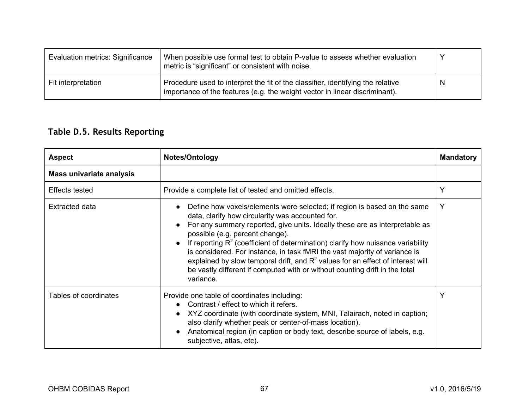| Evaluation metrics: Significance | When possible use formal test to obtain P-value to assess whether evaluation<br>metric is "significant" or consistent with noise.                              | Υ |
|----------------------------------|----------------------------------------------------------------------------------------------------------------------------------------------------------------|---|
| Fit interpretation               | Procedure used to interpret the fit of the classifier, identifying the relative<br>importance of the features (e.g. the weight vector in linear discriminant). | N |

# <span id="page-66-0"></span>**Table D.5. Results Reporting**

| <b>Aspect</b>            | Notes/Ontology                                                                                                                                                                                                                                                                                                                                                                                                                                                                                                                                                                                     | <b>Mandatory</b> |
|--------------------------|----------------------------------------------------------------------------------------------------------------------------------------------------------------------------------------------------------------------------------------------------------------------------------------------------------------------------------------------------------------------------------------------------------------------------------------------------------------------------------------------------------------------------------------------------------------------------------------------------|------------------|
| Mass univariate analysis |                                                                                                                                                                                                                                                                                                                                                                                                                                                                                                                                                                                                    |                  |
| Effects tested           | Provide a complete list of tested and omitted effects.                                                                                                                                                                                                                                                                                                                                                                                                                                                                                                                                             | Y                |
| Extracted data           | Define how voxels/elements were selected; if region is based on the same<br>data, clarify how circularity was accounted for.<br>For any summary reported, give units. Ideally these are as interpretable as<br>possible (e.g. percent change).<br>If reporting $R^2$ (coefficient of determination) clarify how nuisance variability<br>is considered. For instance, in task fMRI the vast majority of variance is<br>explained by slow temporal drift, and $R2$ values for an effect of interest will<br>be vastly different if computed with or without counting drift in the total<br>variance. | Y                |
| Tables of coordinates    | Provide one table of coordinates including:<br>Contrast / effect to which it refers.<br>XYZ coordinate (with coordinate system, MNI, Talairach, noted in caption;<br>also clarify whether peak or center-of-mass location).<br>Anatomical region (in caption or body text, describe source of labels, e.g.<br>subjective, atlas, etc).                                                                                                                                                                                                                                                             | Y                |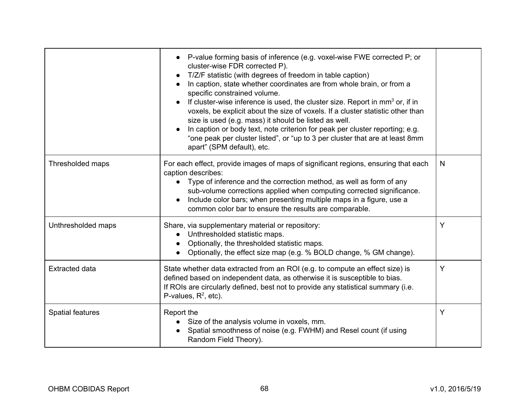|                         | P-value forming basis of inference (e.g. voxel-wise FWE corrected P; or<br>cluster-wise FDR corrected P).<br>T/Z/F statistic (with degrees of freedom in table caption)<br>In caption, state whether coordinates are from whole brain, or from a<br>specific constrained volume.<br>If cluster-wise inference is used, the cluster size. Report in $mm3$ or, if in<br>voxels, be explicit about the size of voxels. If a cluster statistic other than<br>size is used (e.g. mass) it should be listed as well.<br>In caption or body text, note criterion for peak per cluster reporting; e.g.<br>"one peak per cluster listed", or "up to 3 per cluster that are at least 8mm<br>apart" (SPM default), etc. |   |
|-------------------------|--------------------------------------------------------------------------------------------------------------------------------------------------------------------------------------------------------------------------------------------------------------------------------------------------------------------------------------------------------------------------------------------------------------------------------------------------------------------------------------------------------------------------------------------------------------------------------------------------------------------------------------------------------------------------------------------------------------|---|
| Thresholded maps        | For each effect, provide images of maps of significant regions, ensuring that each<br>caption describes:<br>Type of inference and the correction method, as well as form of any<br>$\bullet$<br>sub-volume corrections applied when computing corrected significance.<br>Include color bars; when presenting multiple maps in a figure, use a<br>common color bar to ensure the results are comparable.                                                                                                                                                                                                                                                                                                      | N |
| Unthresholded maps      | Share, via supplementary material or repository:<br>Unthresholded statistic maps.<br>Optionally, the thresholded statistic maps.<br>Optionally, the effect size map (e.g. % BOLD change, % GM change).                                                                                                                                                                                                                                                                                                                                                                                                                                                                                                       | Y |
| <b>Extracted data</b>   | State whether data extracted from an ROI (e.g. to compute an effect size) is<br>defined based on independent data, as otherwise it is susceptible to bias.<br>If ROIs are circularly defined, best not to provide any statistical summary (i.e.<br>P-values, $R^2$ , etc).                                                                                                                                                                                                                                                                                                                                                                                                                                   | Y |
| <b>Spatial features</b> | Report the<br>Size of the analysis volume in voxels, mm.<br>Spatial smoothness of noise (e.g. FWHM) and Resel count (if using<br>Random Field Theory).                                                                                                                                                                                                                                                                                                                                                                                                                                                                                                                                                       | Y |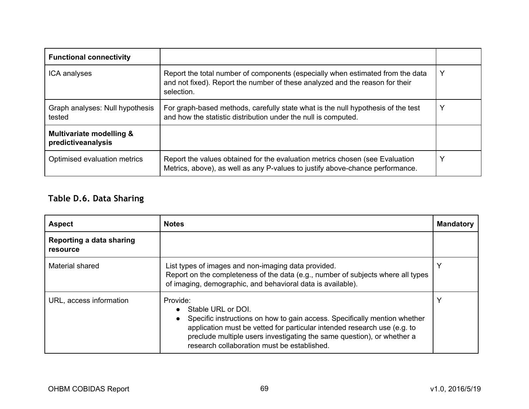<span id="page-68-0"></span>

| <b>Functional connectivity</b>                 |                                                                                                                                                                              |   |
|------------------------------------------------|------------------------------------------------------------------------------------------------------------------------------------------------------------------------------|---|
| ICA analyses                                   | Report the total number of components (especially when estimated from the data<br>and not fixed). Report the number of these analyzed and the reason for their<br>selection. | Y |
| Graph analyses: Null hypothesis<br>tested      | For graph-based methods, carefully state what is the null hypothesis of the test<br>and how the statistic distribution under the null is computed.                           |   |
| Multivariate modelling &<br>predictiveanalysis |                                                                                                                                                                              |   |
| Optimised evaluation metrics                   | Report the values obtained for the evaluation metrics chosen (see Evaluation<br>Metrics, above), as well as any P-values to justify above-chance performance.                |   |

# **Table D.6. Data Sharing**

| <b>Aspect</b>                        | <b>Notes</b>                                                                                                                                                                                                                                                                                                     | <b>Mandatory</b> |
|--------------------------------------|------------------------------------------------------------------------------------------------------------------------------------------------------------------------------------------------------------------------------------------------------------------------------------------------------------------|------------------|
| Reporting a data sharing<br>resource |                                                                                                                                                                                                                                                                                                                  |                  |
| Material shared                      | List types of images and non-imaging data provided.<br>Report on the completeness of the data (e.g., number of subjects where all types<br>of imaging, demographic, and behavioral data is available).                                                                                                           | Y                |
| URL, access information              | Provide:<br>Stable URL or DOI.<br>Specific instructions on how to gain access. Specifically mention whether<br>application must be vetted for particular intended research use (e.g. to<br>preclude multiple users investigating the same question), or whether a<br>research collaboration must be established. | $\checkmark$     |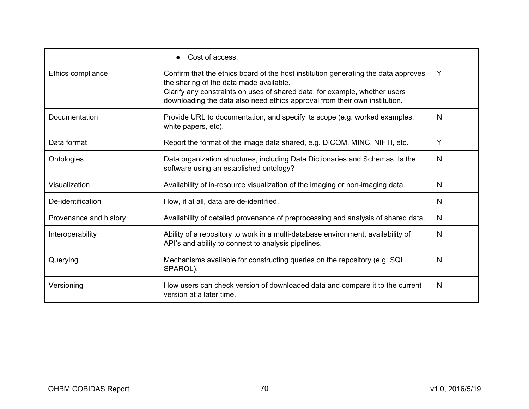|                        | Cost of access.                                                                                                                                                                                                                                                                           |   |
|------------------------|-------------------------------------------------------------------------------------------------------------------------------------------------------------------------------------------------------------------------------------------------------------------------------------------|---|
| Ethics compliance      | Confirm that the ethics board of the host institution generating the data approves<br>the sharing of the data made available.<br>Clarify any constraints on uses of shared data, for example, whether users<br>downloading the data also need ethics approval from their own institution. | Y |
| Documentation          | Provide URL to documentation, and specify its scope (e.g. worked examples,<br>white papers, etc).                                                                                                                                                                                         | N |
| Data format            | Report the format of the image data shared, e.g. DICOM, MINC, NIFTI, etc.                                                                                                                                                                                                                 | Y |
| Ontologies             | Data organization structures, including Data Dictionaries and Schemas. Is the<br>software using an established ontology?                                                                                                                                                                  | N |
| Visualization          | Availability of in-resource visualization of the imaging or non-imaging data.                                                                                                                                                                                                             | N |
| De-identification      | How, if at all, data are de-identified.                                                                                                                                                                                                                                                   | N |
| Provenance and history | Availability of detailed provenance of preprocessing and analysis of shared data.                                                                                                                                                                                                         | N |
| Interoperability       | Ability of a repository to work in a multi-database environment, availability of<br>API's and ability to connect to analysis pipelines.                                                                                                                                                   | N |
| Querying               | Mechanisms available for constructing queries on the repository (e.g. SQL,<br>SPARQL).                                                                                                                                                                                                    | N |
| Versioning             | How users can check version of downloaded data and compare it to the current<br>version at a later time.                                                                                                                                                                                  | N |